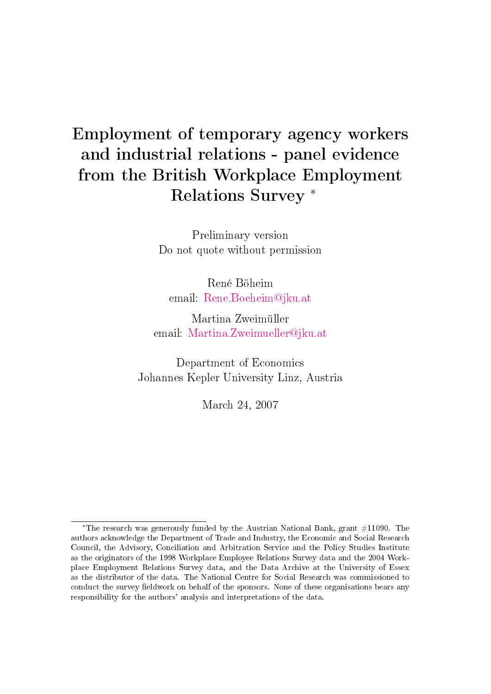# Employment of temporary agency workers and industrial relations - panel evidence from the British Workplace Employment Relations Survey <sup>∗</sup>

Preliminary version Do not quote without permission

René Böheim email: [Rene.Boeheim@jku.at](mailto:rene.boeheim@jku.at)

Martina Zweimüller email: [Martina.Zweimueller@jku.at](mailto:martina.zweimueller@jku.at)

Department of Economics Johannes Kepler University Linz, Austria

March 24, 2007

<sup>∗</sup>The research was generously funded by the Austrian National Bank, grant #11090. The authors acknowledge the Department of Trade and Industry, the Economic and Social Research Council, the Advisory, Conciliation and Arbitration Service and the Policy Studies Institute as the originators of the 1998 Workplace Employee Relations Survey data and the 2004 Workplace Employment Relations Survey data, and the Data Archive at the University of Essex as the distributor of the data. The National Centre for Social Research was commissioned to conduct the survey fieldwork on behalf of the sponsors. None of these organisations bears any responsibility for the authors' analysis and interpretations of the data.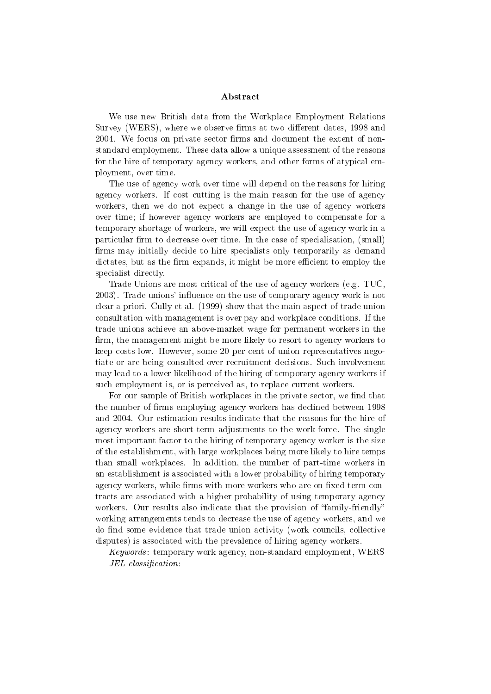#### Abstract

We use new British data from the Workplace Employment Relations Survey (WERS), where we observe firms at two different dates, 1998 and 2004. We focus on private sector firms and document the extent of nonstandard employment. These data allow a unique assessment of the reasons for the hire of temporary agency workers, and other forms of atypical employment, over time.

The use of agency work over time will depend on the reasons for hiring agency workers. If cost cutting is the main reason for the use of agency workers, then we do not expect a change in the use of agency workers over time; if however agency workers are employed to compensate for a temporary shortage of workers, we will expect the use of agency work in a particular firm to decrease over time. In the case of specialisation, (small) firms may initially decide to hire specialists only temporarily as demand dictates, but as the firm expands, it might be more efficient to employ the specialist directly.

Trade Unions are most critical of the use of agency workers (e.g. TUC, 2003). Trade unions' influence on the use of temporary agency work is not clear a priori. Cully et al. (1999) show that the main aspect of trade union consultation with management is over pay and workplace conditions. If the trade unions achieve an above-market wage for permanent workers in the firm, the management might be more likely to resort to agency workers to keep costs low. However, some 20 per cent of union representatives negotiate or are being consulted over recruitment decisions. Such involvement may lead to a lower likelihood of the hiring of temporary agency workers if such employment is, or is perceived as, to replace current workers.

For our sample of British workplaces in the private sector, we find that the number of firms employing agency workers has declined between 1998 and 2004. Our estimation results indicate that the reasons for the hire of agency workers are short-term adjustments to the work-force. The single most important factor to the hiring of temporary agency worker is the size of the establishment, with large workplaces being more likely to hire temps than small workplaces. In addition, the number of part-time workers in an establishment is associated with a lower probability of hiring temporary agency workers, while firms with more workers who are on fixed-term contracts are associated with a higher probability of using temporary agency workers. Our results also indicate that the provision of "family-friendly" working arrangements tends to decrease the use of agency workers, and we do find some evidence that trade union activity (work councils, collective disputes) is associated with the prevalence of hiring agency workers.

Keywords: temporary work agency, non-standard employment, WERS  $JEL$  classification: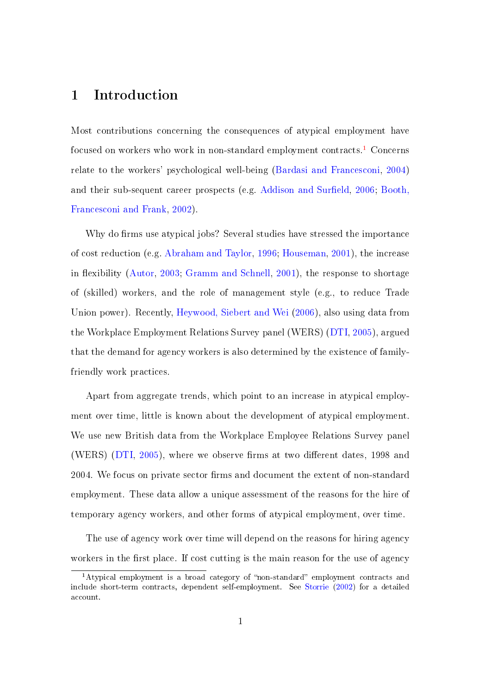### 1 Introduction

Most contributions concerning the consequences of atypical employment have focused on workers who work in non-standard employment contracts.[1](#page-2-0) Concerns relate to the workers' psychological well-being [\(Bardasi and Francesconi,](#page-48-0) [2004\)](#page-48-0) and their sub-sequent career prospects (e.g. Addison and Surfield, [2006;](#page-48-1) [Booth,](#page-48-2) [Francesconi and Frank,](#page-48-2) [2002\)](#page-48-2).

Why do firms use atypical jobs? Several studies have stressed the importance of cost reduction (e.g. [Abraham and Taylor,](#page-48-3) [1996;](#page-48-3) [Houseman,](#page-49-0) [2001\)](#page-49-0), the increase in flexibility [\(Autor,](#page-48-4) [2003;](#page-48-4) [Gramm and Schnell,](#page-49-1) [2001\)](#page-49-1), the response to shortage of (skilled) workers, and the role of management style (e.g., to reduce Trade Union power). Recently, [Heywood, Siebert and Wei](#page-49-2) [\(2006\)](#page-49-2), also using data from the Workplace Employment Relations Survey panel (WERS) [\(DTI,](#page-48-5) [2005\)](#page-48-5), argued that the demand for agency workers is also determined by the existence of familyfriendly work practices.

Apart from aggregate trends, which point to an increase in atypical employment over time, little is known about the development of atypical employment. We use new British data from the Workplace Employee Relations Survey panel (WERS)  $(DTI, 2005)$  $(DTI, 2005)$  $(DTI, 2005)$ , where we observe firms at two different dates, 1998 and 2004. We focus on private sector firms and document the extent of non-standard employment. These data allow a unique assessment of the reasons for the hire of temporary agency workers, and other forms of atypical employment, over time.

The use of agency work over time will depend on the reasons for hiring agency workers in the first place. If cost cutting is the main reason for the use of agency

<span id="page-2-0"></span> $1$ Atypical employment is a broad category of "non-standard" employment contracts and include short-term contracts, dependent self-employment. See [Storrie](#page-49-3) [\(2002\)](#page-49-3) for a detailed account.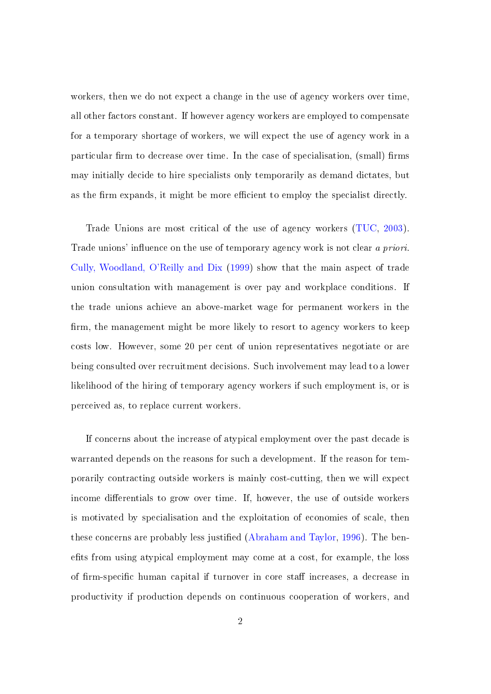workers, then we do not expect a change in the use of agency workers over time, all other factors constant. If however agency workers are employed to compensate for a temporary shortage of workers, we will expect the use of agency work in a particular firm to decrease over time. In the case of specialisation, (small) firms may initially decide to hire specialists only temporarily as demand dictates, but as the firm expands, it might be more efficient to employ the specialist directly.

Trade Unions are most critical of the use of agency workers [\(TUC,](#page-49-4) [2003\)](#page-49-4). Trade unions' influence on the use of temporary agency work is not clear a priori. [Cully, Woodland, O'Reilly and Dix](#page-48-6) [\(1999\)](#page-48-6) show that the main aspect of trade union consultation with management is over pay and workplace conditions. If the trade unions achieve an above-market wage for permanent workers in the firm, the management might be more likely to resort to agency workers to keep costs low. However, some 20 per cent of union representatives negotiate or are being consulted over recruitment decisions. Such involvement may lead to a lower likelihood of the hiring of temporary agency workers if such employment is, or is perceived as, to replace current workers.

If concerns about the increase of atypical employment over the past decade is warranted depends on the reasons for such a development. If the reason for temporarily contracting outside workers is mainly cost-cutting, then we will expect income differentials to grow over time. If, however, the use of outside workers is motivated by specialisation and the exploitation of economies of scale, then these concerns are probably less justified [\(Abraham and Taylor,](#page-48-3) [1996\)](#page-48-3). The benefits from using atypical employment may come at a cost, for example, the loss of firm-specific human capital if turnover in core staff increases, a decrease in productivity if production depends on continuous cooperation of workers, and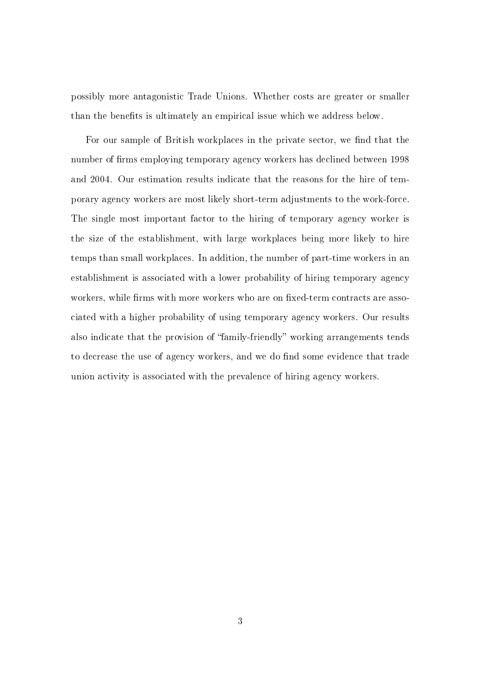possibly more antagonistic Trade Unions. Whether costs are greater or smaller than the benefits is ultimately an empirical issue which we address below.

For our sample of British workplaces in the private sector, we find that the number of firms employing temporary agency workers has declined between 1998 and 2004. Our estimation results indicate that the reasons for the hire of temporary agency workers are most likely short-term adjustments to the work-force. The single most important factor to the hiring of temporary agency worker is the size of the establishment, with large workplaces being more likely to hire temps than small workplaces. In addition, the number of part-time workers in an establishment is associated with a lower probability of hiring temporary agency workers, while firms with more workers who are on fixed-term contracts are associated with a higher probability of using temporary agency workers. Our results also indicate that the provision of "family-friendly" working arrangements tends to decrease the use of agency workers, and we do find some evidence that trade union activity is associated with the prevalence of hiring agency workers.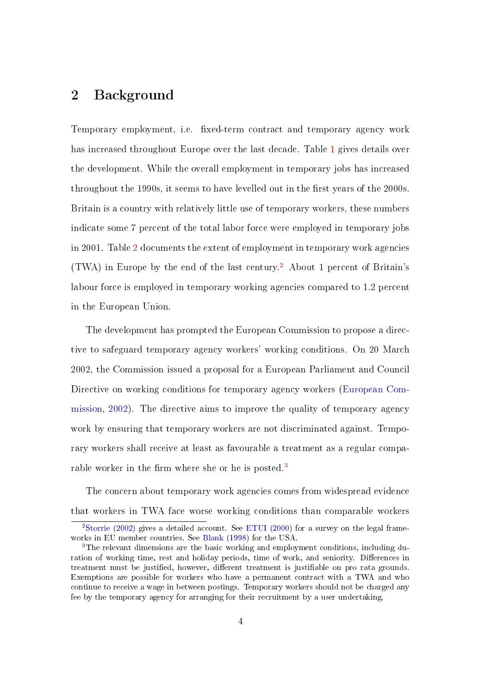### 2 Background

Temporary employment, i.e. fixed-term contract and temporary agency work has increased throughout Europe over the last decade. Table [1](#page-26-0) gives details over the development. While the overall employment in temporary jobs has increased throughout the 1990s, it seems to have levelled out in the first years of the 2000s. Britain is a country with relatively little use of temporary workers, these numbers indicate some 7 percent of the total labor force were employed in temporary jobs in 2001. Table [2](#page-27-0) documents the extent of employment in temporary work agencies (TWA) in Europe by the end of the last century.[2](#page-5-0) About 1 percent of Britain's labour force is employed in temporary working agencies compared to 1.2 percent in the European Union.

The development has prompted the European Commission to propose a directive to safeguard temporary agency workers' working conditions. On 20 March 2002, the Commission issued a proposal for a European Parliament and Council Directive on working conditions for temporary agency workers [\(European Com](#page-48-7)[mission,](#page-48-7) [2002\)](#page-48-7). The directive aims to improve the quality of temporary agency work by ensuring that temporary workers are not discriminated against. Temporary workers shall receive at least as favourable a treatment as a regular compa-rable worker in the firm where she or he is posted.<sup>[3](#page-5-1)</sup>

The concern about temporary work agencies comes from widespread evidence that workers in TWA face worse working conditions than comparable workers

<span id="page-5-0"></span><sup>&</sup>lt;sup>2</sup>[Storrie](#page-49-3) [\(2002\)](#page-49-3) gives a detailed account. See [ETUI](#page-48-8) [\(2000\)](#page-48-8) for a survey on the legal frameworks in EU member countries. See [Blank](#page-48-9) [\(1998\)](#page-48-9) for the USA.

<span id="page-5-1"></span><sup>3</sup>The relevant dimensions are the basic working and employment conditions, including duration of working time, rest and holiday periods, time of work, and seniority. Differences in treatment must be justified, however, different treatment is justifiable on pro rata grounds. Exemptions are possible for workers who have a permanent contract with a TWA and who continue to receive a wage in between postings. Temporary workers should not be charged any fee by the temporary agency for arranging for their recruitment by a user undertaking.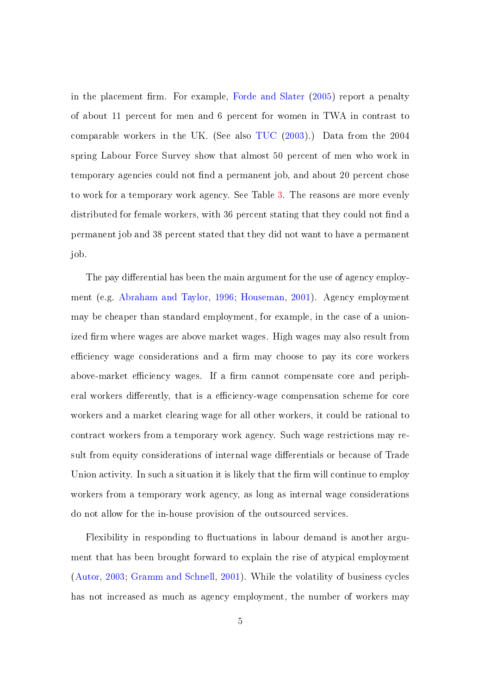in the placement firm. For example, [Forde and Slater](#page-48-10)  $(2005)$  report a penalty of about 11 percent for men and 6 percent for women in TWA in contrast to comparable workers in the UK. (See also [TUC](#page-49-4) [\(2003\)](#page-49-4).) Data from the 2004 spring Labour Force Survey show that almost 50 percent of men who work in temporary agencies could not find a permanent job, and about 20 percent chose to work for a temporary work agency. See Table [3.](#page-27-1) The reasons are more evenly distributed for female workers, with 36 percent stating that they could not find a permanent job and 38 percent stated that they did not want to have a permanent job.

The pay differential has been the main argument for the use of agency employment (e.g. [Abraham and Taylor,](#page-48-3) [1996;](#page-48-3) [Houseman,](#page-49-0) [2001\)](#page-49-0). Agency employment may be cheaper than standard employment, for example, in the case of a unionized firm where wages are above market wages. High wages may also result from efficiency wage considerations and a firm may choose to pay its core workers above-market efficiency wages. If a firm cannot compensate core and peripheral workers differently, that is a efficiency-wage compensation scheme for core workers and a market clearing wage for all other workers, it could be rational to contract workers from a temporary work agency. Such wage restrictions may result from equity considerations of internal wage differentials or because of Trade Union activity. In such a situation it is likely that the firm will continue to employ workers from a temporary work agency, as long as internal wage considerations do not allow for the in-house provision of the outsourced services.

Flexibility in responding to fluctuations in labour demand is another argument that has been brought forward to explain the rise of atypical employment [\(Autor,](#page-48-4) [2003;](#page-48-4) [Gramm and Schnell,](#page-49-1) [2001\)](#page-49-1). While the volatility of business cycles has not increased as much as agency employment, the number of workers may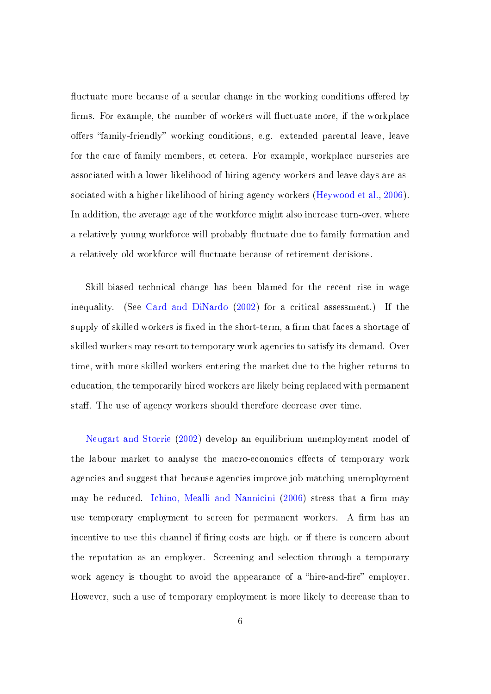fluctuate more because of a secular change in the working conditions offered by firms. For example, the number of workers will fluctuate more, if the workplace offers "family-friendly" working conditions, e.g. extended parental leave, leave for the care of family members, et cetera. For example, workplace nurseries are associated with a lower likelihood of hiring agency workers and leave days are associated with a higher likelihood of hiring agency workers [\(Heywood et al.,](#page-49-2) [2006\)](#page-49-2). In addition, the average age of the workforce might also increase turn-over, where a relatively young workforce will probably fluctuate due to family formation and a relatively old workforce will fluctuate because of retirement decisions.

Skill-biased technical change has been blamed for the recent rise in wage inequality. (See [Card and DiNardo](#page-48-11) [\(2002\)](#page-48-11) for a critical assessment.) If the supply of skilled workers is fixed in the short-term, a firm that faces a shortage of skilled workers may resort to temporary work agencies to satisfy its demand. Over time, with more skilled workers entering the market due to the higher returns to education, the temporarily hired workers are likely being replaced with permanent staff. The use of agency workers should therefore decrease over time.

[Neugart and Storrie](#page-49-5) [\(2002\)](#page-49-5) develop an equilibrium unemployment model of the labour market to analyse the macro-economics effects of temporary work agencies and suggest that because agencies improve job matching unemployment may be reduced. [Ichino, Mealli and Nannicini](#page-49-6) [\(2006\)](#page-49-6) stress that a firm may use temporary employment to screen for permanent workers. A firm has an incentive to use this channel if firing costs are high, or if there is concern about the reputation as an employer. Screening and selection through a temporary work agency is thought to avoid the appearance of a "hire-and-fire" employer. However, such a use of temporary employment is more likely to decrease than to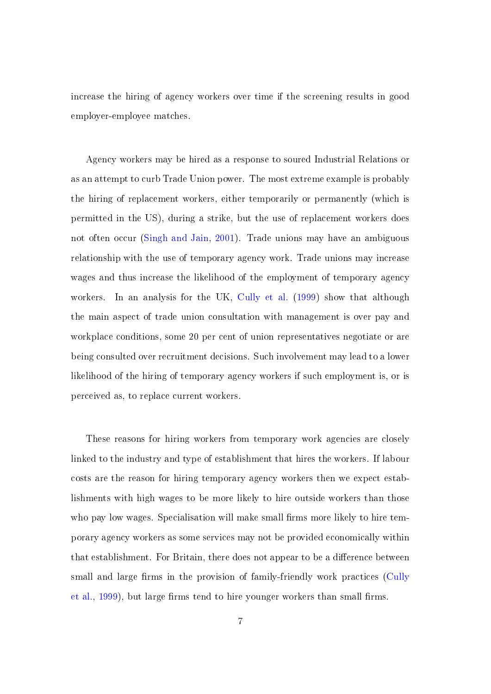increase the hiring of agency workers over time if the screening results in good employer-employee matches.

Agency workers may be hired as a response to soured Industrial Relations or as an attempt to curb Trade Union power. The most extreme example is probably the hiring of replacement workers, either temporarily or permanently (which is permitted in the US), during a strike, but the use of replacement workers does not often occur [\(Singh and Jain,](#page-49-7) [2001\)](#page-49-7). Trade unions may have an ambiguous relationship with the use of temporary agency work. Trade unions may increase wages and thus increase the likelihood of the employment of temporary agency workers. In an analysis for the UK, [Cully et al.](#page-48-6) [\(1999\)](#page-48-6) show that although the main aspect of trade union consultation with management is over pay and workplace conditions, some 20 per cent of union representatives negotiate or are being consulted over recruitment decisions. Such involvement may lead to a lower likelihood of the hiring of temporary agency workers if such employment is, or is perceived as, to replace current workers.

These reasons for hiring workers from temporary work agencies are closely linked to the industry and type of establishment that hires the workers. If labour costs are the reason for hiring temporary agency workers then we expect establishments with high wages to be more likely to hire outside workers than those who pay low wages. Specialisation will make small firms more likely to hire temporary agency workers as some services may not be provided economically within that establishment. For Britain, there does not appear to be a difference between small and large firms in the provision of family-friendly work practices [\(Cully](#page-48-6) [et al.,](#page-48-6)  $1999$ ), but large firms tend to hire younger workers than small firms.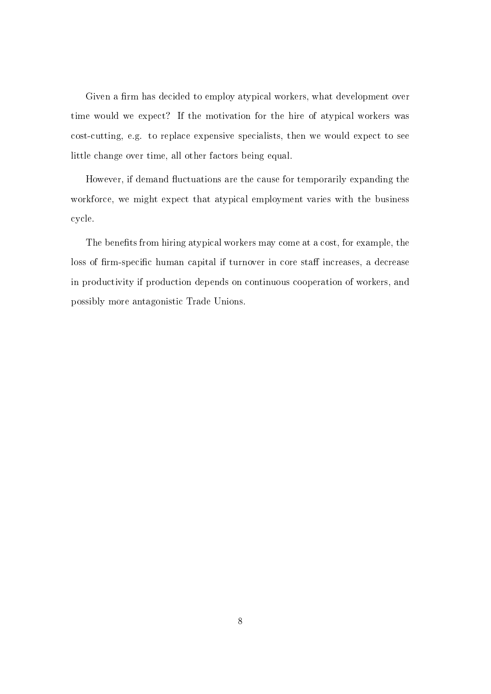Given a firm has decided to employ atypical workers, what development over time would we expect? If the motivation for the hire of atypical workers was cost-cutting, e.g. to replace expensive specialists, then we would expect to see little change over time, all other factors being equal.

However, if demand fluctuations are the cause for temporarily expanding the workforce, we might expect that atypical employment varies with the business cycle.

The benefits from hiring atypical workers may come at a cost, for example, the loss of firm-specific human capital if turnover in core staff increases, a decrease in productivity if production depends on continuous cooperation of workers, and possibly more antagonistic Trade Unions.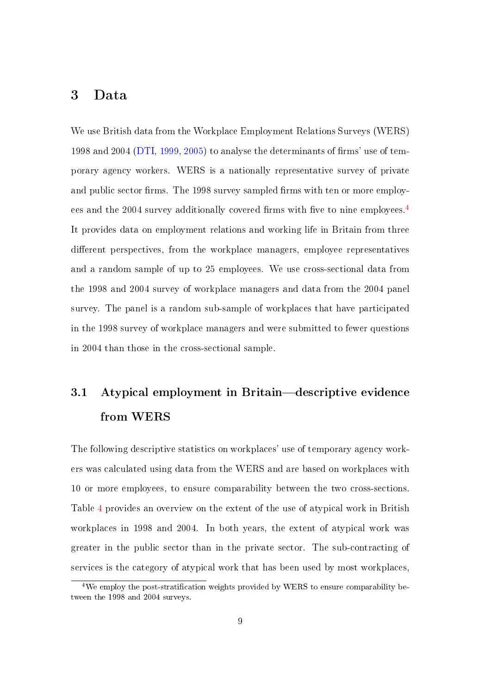#### 3 Data

We use British data from the Workplace Employment Relations Surveys (WERS) 1998 and 2004 [\(DTI,](#page-48-12) [1999,](#page-48-12) [2005\)](#page-48-5) to analyse the determinants of firms' use of temporary agency workers. WERS is a nationally representative survey of private and public sector firms. The 1998 survey sampled firms with ten or more employ-ees and the 200[4](#page-10-0) survey additionally covered firms with five to nine employees.<sup>4</sup> It provides data on employment relations and working life in Britain from three different perspectives, from the workplace managers, employee representatives and a random sample of up to 25 employees. We use cross-sectional data from the 1998 and 2004 survey of workplace managers and data from the 2004 panel survey. The panel is a random sub-sample of workplaces that have participated in the 1998 survey of workplace managers and were submitted to fewer questions in 2004 than those in the cross-sectional sample.

## 3.1 Atypical employment in Britain-descriptive evidence from WERS

The following descriptive statistics on workplaces' use of temporary agency workers was calculated using data from the WERS and are based on workplaces with 10 or more employees, to ensure comparability between the two cross-sections. Table [4](#page-28-0) provides an overview on the extent of the use of atypical work in British workplaces in 1998 and 2004. In both years, the extent of atypical work was greater in the public sector than in the private sector. The sub-contracting of services is the category of atypical work that has been used by most workplaces,

<span id="page-10-0"></span> $4$ We employ the post-stratification weights provided by WERS to ensure comparability between the 1998 and 2004 surveys.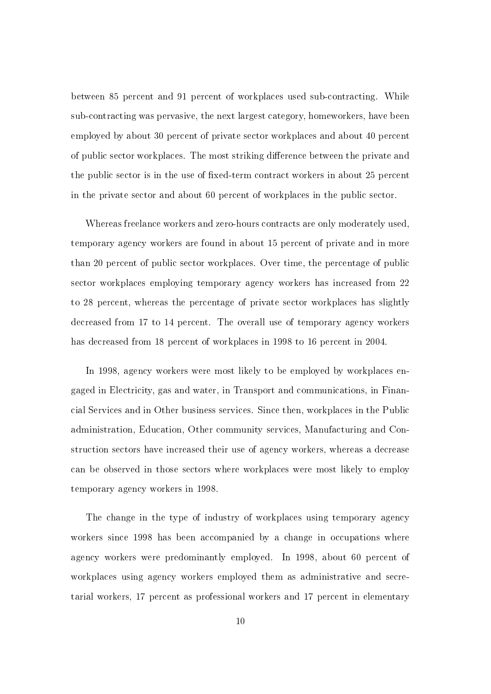between 85 percent and 91 percent of workplaces used sub-contracting. While sub-contracting was pervasive, the next largest category, homeworkers, have been employed by about 30 percent of private sector workplaces and about 40 percent of public sector workplaces. The most striking difference between the private and the public sector is in the use of fixed-term contract workers in about 25 percent in the private sector and about 60 percent of workplaces in the public sector.

Whereas freelance workers and zero-hours contracts are only moderately used, temporary agency workers are found in about 15 percent of private and in more than 20 percent of public sector workplaces. Over time, the percentage of public sector workplaces employing temporary agency workers has increased from 22 to 28 percent, whereas the percentage of private sector workplaces has slightly decreased from 17 to 14 percent. The overall use of temporary agency workers has decreased from 18 percent of workplaces in 1998 to 16 percent in 2004.

In 1998, agency workers were most likely to be employed by workplaces engaged in Electricity, gas and water, in Transport and communications, in Financial Services and in Other business services. Since then, workplaces in the Public administration, Education, Other community services, Manufacturing and Construction sectors have increased their use of agency workers, whereas a decrease can be observed in those sectors where workplaces were most likely to employ temporary agency workers in 1998.

The change in the type of industry of workplaces using temporary agency workers since 1998 has been accompanied by a change in occupations where agency workers were predominantly employed. In 1998, about 60 percent of workplaces using agency workers employed them as administrative and secretarial workers, 17 percent as professional workers and 17 percent in elementary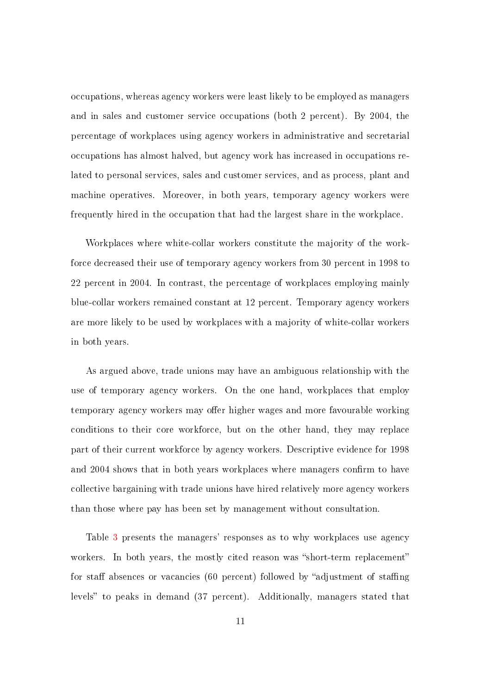occupations, whereas agency workers were least likely to be employed as managers and in sales and customer service occupations (both 2 percent). By 2004, the percentage of workplaces using agency workers in administrative and secretarial occupations has almost halved, but agency work has increased in occupations related to personal services, sales and customer services, and as process, plant and machine operatives. Moreover, in both years, temporary agency workers were frequently hired in the occupation that had the largest share in the workplace.

Workplaces where white-collar workers constitute the majority of the workforce decreased their use of temporary agency workers from 30 percent in 1998 to 22 percent in 2004. In contrast, the percentage of workplaces employing mainly blue-collar workers remained constant at 12 percent. Temporary agency workers are more likely to be used by workplaces with a majority of white-collar workers in both years.

As argued above, trade unions may have an ambiguous relationship with the use of temporary agency workers. On the one hand, workplaces that employ temporary agency workers may offer higher wages and more favourable working conditions to their core workforce, but on the other hand, they may replace part of their current workforce by agency workers. Descriptive evidence for 1998 and 2004 shows that in both years workplaces where managers confirm to have collective bargaining with trade unions have hired relatively more agency workers than those where pay has been set by management without consultation.

Table [3](#page-27-1) presents the managers' responses as to why workplaces use agency workers. In both years, the mostly cited reason was "short-term replacement" for staff absences or vacancies (60 percent) followed by "adjustment of staffing levels" to peaks in demand (37 percent). Additionally, managers stated that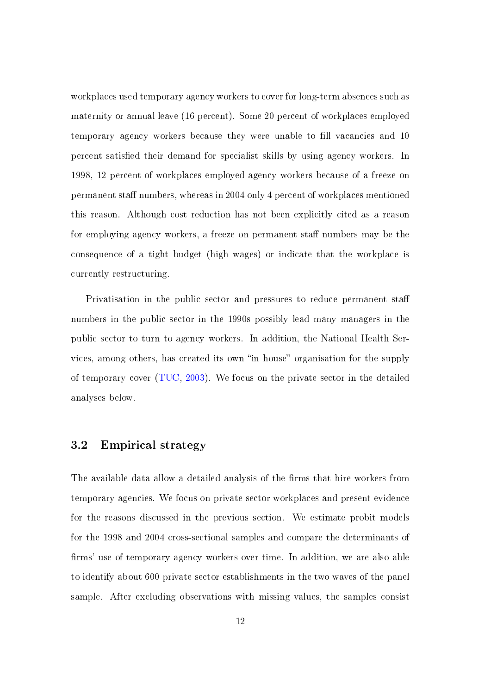workplaces used temporary agency workers to cover for long-term absences such as maternity or annual leave (16 percent). Some 20 percent of workplaces employed temporary agency workers because they were unable to fill vacancies and 10 percent satisfied their demand for specialist skills by using agency workers. In 1998, 12 percent of workplaces employed agency workers because of a freeze on permanent staff numbers, whereas in 2004 only 4 percent of workplaces mentioned this reason. Although cost reduction has not been explicitly cited as a reason for employing agency workers, a freeze on permanent staff numbers may be the consequence of a tight budget (high wages) or indicate that the workplace is currently restructuring.

Privatisation in the public sector and pressures to reduce permanent sta numbers in the public sector in the 1990s possibly lead many managers in the public sector to turn to agency workers. In addition, the National Health Services, among others, has created its own "in house" organisation for the supply of temporary cover [\(TUC,](#page-49-4) [2003\)](#page-49-4). We focus on the private sector in the detailed analyses below.

#### 3.2 Empirical strategy

The available data allow a detailed analysis of the firms that hire workers from temporary agencies. We focus on private sector workplaces and present evidence for the reasons discussed in the previous section. We estimate probit models for the 1998 and 2004 cross-sectional samples and compare the determinants of firms' use of temporary agency workers over time. In addition, we are also able to identify about 600 private sector establishments in the two waves of the panel sample. After excluding observations with missing values, the samples consist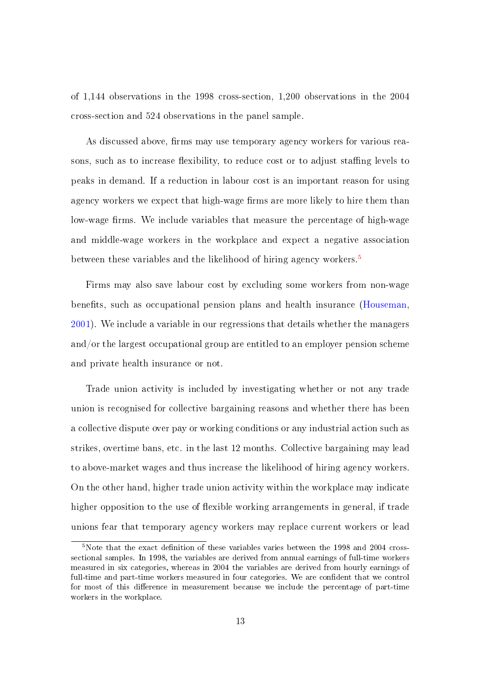of 1,144 observations in the 1998 cross-section, 1,200 observations in the 2004 cross-section and 524 observations in the panel sample.

As discussed above, firms may use temporary agency workers for various reasons, such as to increase flexibility, to reduce cost or to adjust staffing levels to peaks in demand. If a reduction in labour cost is an important reason for using agency workers we expect that high-wage firms are more likely to hire them than low-wage firms. We include variables that measure the percentage of high-wage and middle-wage workers in the workplace and expect a negative association between these variables and the likelihood of hiring agency workers.<sup>[5](#page-14-0)</sup>

Firms may also save labour cost by excluding some workers from non-wage benefits, such as occupational pension plans and health insurance [\(Houseman,](#page-49-0) [2001\)](#page-49-0). We include a variable in our regressions that details whether the managers and/or the largest occupational group are entitled to an employer pension scheme and private health insurance or not.

Trade union activity is included by investigating whether or not any trade union is recognised for collective bargaining reasons and whether there has been a collective dispute over pay or working conditions or any industrial action such as strikes, overtime bans, etc. in the last 12 months. Collective bargaining may lead to above-market wages and thus increase the likelihood of hiring agency workers. On the other hand, higher trade union activity within the workplace may indicate higher opposition to the use of flexible working arrangements in general, if trade unions fear that temporary agency workers may replace current workers or lead

<span id="page-14-0"></span> $5$ Note that the exact definition of these variables varies between the 1998 and 2004 crosssectional samples. In 1998, the variables are derived from annual earnings of full-time workers measured in six categories, whereas in 2004 the variables are derived from hourly earnings of full-time and part-time workers measured in four categories. We are confident that we control for most of this difference in measurement because we include the percentage of part-time workers in the workplace.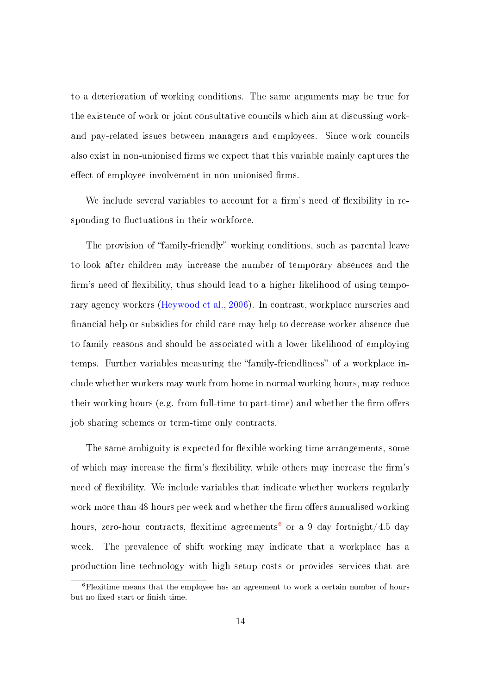to a deterioration of working conditions. The same arguments may be true for the existence of work or joint consultative councils which aim at discussing workand pay-related issues between managers and employees. Since work councils also exist in non-unionised firms we expect that this variable mainly captures the effect of employee involvement in non-unionised firms.

We include several variables to account for a firm's need of flexibility in responding to fluctuations in their workforce.

The provision of "family-friendly" working conditions, such as parental leave to look after children may increase the number of temporary absences and the firm's need of flexibility, thus should lead to a higher likelihood of using temporary agency workers [\(Heywood et al.,](#page-49-2) [2006\)](#page-49-2). In contrast, workplace nurseries and nancial help or subsidies for child care may help to decrease worker absence due to family reasons and should be associated with a lower likelihood of employing temps. Further variables measuring the "family-friendliness" of a workplace include whether workers may work from home in normal working hours, may reduce their working hours (e.g. from full-time to part-time) and whether the firm offers job sharing schemes or term-time only contracts.

The same ambiguity is expected for flexible working time arrangements, some of which may increase the firm's flexibility, while others may increase the firm's need of flexibility. We include variables that indicate whether workers regularly work more than 48 hours per week and whether the firm offers annualised working hours, zero-hour contracts, flexitime agreements<sup>[6](#page-15-0)</sup> or a 9 day fortnight/4.5 day week. The prevalence of shift working may indicate that a workplace has a production-line technology with high setup costs or provides services that are

<span id="page-15-0"></span><sup>6</sup>Flexitime means that the employee has an agreement to work a certain number of hours but no fixed start or finish time.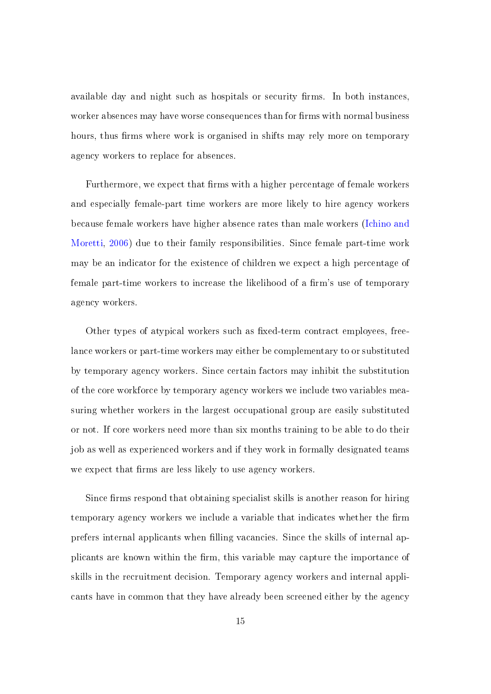available day and night such as hospitals or security firms. In both instances, worker absences may have worse consequences than for firms with normal business hours, thus firms where work is organised in shifts may rely more on temporary agency workers to replace for absences.

Furthermore, we expect that firms with a higher percentage of female workers and especially female-part time workers are more likely to hire agency workers because female workers have higher absence rates than male workers [\(Ichino and](#page-49-8) [Moretti,](#page-49-8) [2006\)](#page-49-8) due to their family responsibilities. Since female part-time work may be an indicator for the existence of children we expect a high percentage of female part-time workers to increase the likelihood of a firm's use of temporary agency workers.

Other types of atypical workers such as fixed-term contract employees, freelance workers or part-time workers may either be complementary to or substituted by temporary agency workers. Since certain factors may inhibit the substitution of the core workforce by temporary agency workers we include two variables measuring whether workers in the largest occupational group are easily substituted or not. If core workers need more than six months training to be able to do their job as well as experienced workers and if they work in formally designated teams we expect that firms are less likely to use agency workers.

Since firms respond that obtaining specialist skills is another reason for hiring temporary agency workers we include a variable that indicates whether the firm prefers internal applicants when filling vacancies. Since the skills of internal applicants are known within the firm, this variable may capture the importance of skills in the recruitment decision. Temporary agency workers and internal applicants have in common that they have already been screened either by the agency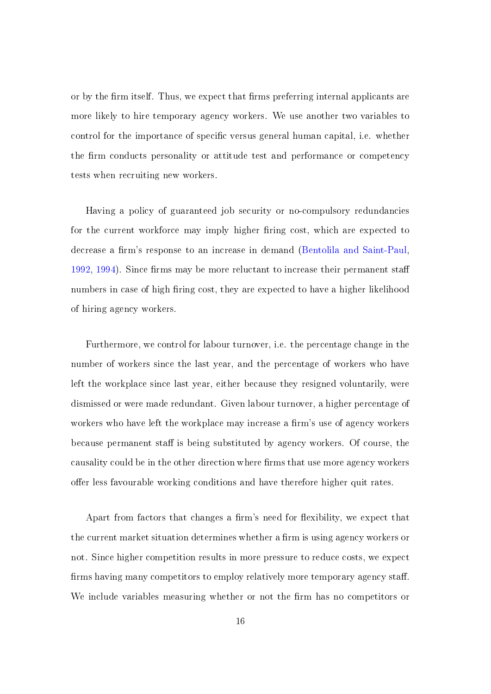or by the firm itself. Thus, we expect that firms preferring internal applicants are more likely to hire temporary agency workers. We use another two variables to control for the importance of specific versus general human capital, i.e. whether the firm conducts personality or attitude test and performance or competency tests when recruiting new workers.

Having a policy of guaranteed job security or no-compulsory redundancies for the current workforce may imply higher firing cost, which are expected to decrease a firm's response to an increase in demand [\(Bentolila and Saint-Paul,](#page-48-13)  $1992, 1994$  $1992, 1994$ . Since firms may be more reluctant to increase their permanent staff numbers in case of high firing cost, they are expected to have a higher likelihood of hiring agency workers.

Furthermore, we control for labour turnover, i.e. the percentage change in the number of workers since the last year, and the percentage of workers who have left the workplace since last year, either because they resigned voluntarily, were dismissed or were made redundant. Given labour turnover, a higher percentage of workers who have left the workplace may increase a firm's use of agency workers because permanent staff is being substituted by agency workers. Of course, the causality could be in the other direction where firms that use more agency workers offer less favourable working conditions and have therefore higher quit rates.

Apart from factors that changes a firm's need for flexibility, we expect that the current market situation determines whether a firm is using agency workers or not. Since higher competition results in more pressure to reduce costs, we expect firms having many competitors to employ relatively more temporary agency staff. We include variables measuring whether or not the firm has no competitors or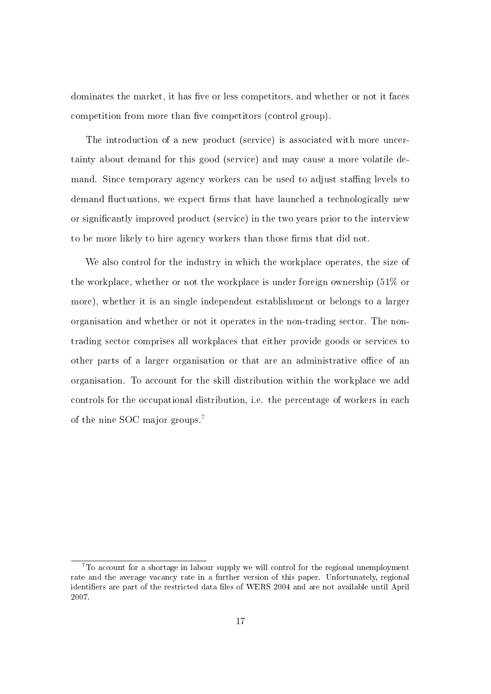dominates the market, it has five or less competitors, and whether or not it faces competition from more than five competitors (control group).

The introduction of a new product (service) is associated with more uncertainty about demand for this good (service) and may cause a more volatile demand. Since temporary agency workers can be used to adjust staffing levels to demand fluctuations, we expect firms that have launched a technologically new or signicantly improved product (service) in the two years prior to the interview to be more likely to hire agency workers than those firms that did not.

We also control for the industry in which the workplace operates, the size of the workplace, whether or not the workplace is under foreign ownership (51% or more), whether it is an single independent establishment or belongs to a larger organisation and whether or not it operates in the non-trading sector. The nontrading sector comprises all workplaces that either provide goods or services to other parts of a larger organisation or that are an administrative office of an organisation. To account for the skill distribution within the workplace we add controls for the occupational distribution, i.e. the percentage of workers in each of the nine SOC major groups.[7](#page-18-0)

<span id="page-18-0"></span><sup>7</sup>To account for a shortage in labour supply we will control for the regional unemployment rate and the average vacancy rate in a further version of this paper. Unfortunately, regional identifiers are part of the restricted data files of WERS 2004 and are not available until April 2007.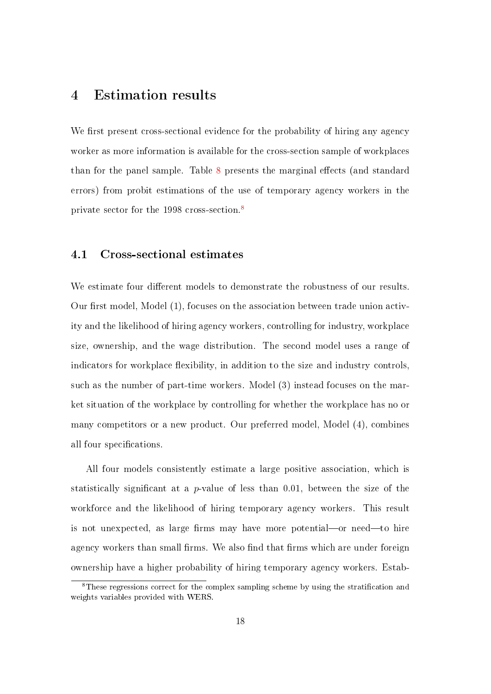## 4 Estimation results

We first present cross-sectional evidence for the probability of hiring any agency worker as more information is available for the cross-section sample of workplaces than for the panel sample. Table [8](#page-33-0) presents the marginal effects (and standard errors) from probit estimations of the use of temporary agency workers in the private sector for the 1998 cross-section.[8](#page-19-0)

#### 4.1 Cross-sectional estimates

We estimate four different models to demonstrate the robustness of our results. Our first model, Model  $(1)$ , focuses on the association between trade union activity and the likelihood of hiring agency workers, controlling for industry, workplace size, ownership, and the wage distribution. The second model uses a range of indicators for workplace flexibility, in addition to the size and industry controls, such as the number of part-time workers. Model (3) instead focuses on the market situation of the workplace by controlling for whether the workplace has no or many competitors or a new product. Our preferred model, Model (4), combines all four specifications.

All four models consistently estimate a large positive association, which is statistically significant at a p-value of less than 0.01, between the size of the workforce and the likelihood of hiring temporary agency workers. This result is not unexpected, as large firms may have more potential—or need—to hire agency workers than small firms. We also find that firms which are under foreign ownership have a higher probability of hiring temporary agency workers. Estab-

<span id="page-19-0"></span> ${}^{8}$ These regressions correct for the complex sampling scheme by using the stratification and weights variables provided with WERS.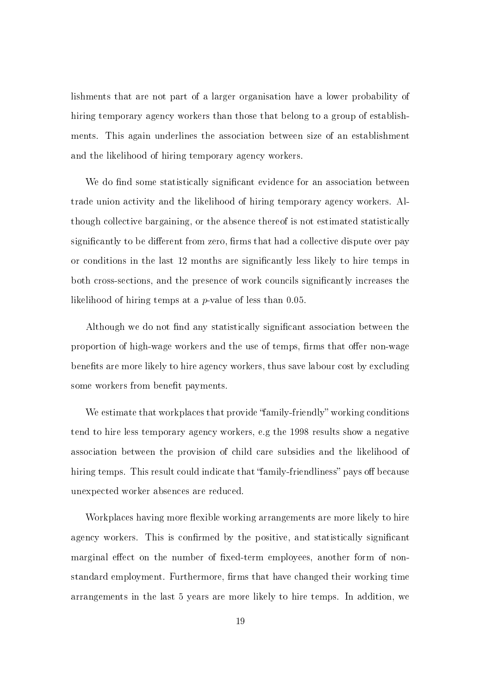lishments that are not part of a larger organisation have a lower probability of hiring temporary agency workers than those that belong to a group of establishments. This again underlines the association between size of an establishment and the likelihood of hiring temporary agency workers.

We do find some statistically significant evidence for an association between trade union activity and the likelihood of hiring temporary agency workers. Although collective bargaining, or the absence thereof is not estimated statistically significantly to be different from zero, firms that had a collective dispute over pay or conditions in the last 12 months are signicantly less likely to hire temps in both cross-sections, and the presence of work councils signicantly increases the likelihood of hiring temps at a  $p$ -value of less than 0.05.

Although we do not find any statistically significant association between the proportion of high-wage workers and the use of temps, firms that offer non-wage benefits are more likely to hire agency workers, thus save labour cost by excluding some workers from benefit payments.

We estimate that workplaces that provide "family-friendly" working conditions tend to hire less temporary agency workers, e.g the 1998 results show a negative association between the provision of child care subsidies and the likelihood of hiring temps. This result could indicate that "family-friendliness" pays off because unexpected worker absences are reduced.

Workplaces having more flexible working arrangements are more likely to hire agency workers. This is confirmed by the positive, and statistically significant marginal effect on the number of fixed-term employees, another form of nonstandard employment. Furthermore, firms that have changed their working time arrangements in the last 5 years are more likely to hire temps. In addition, we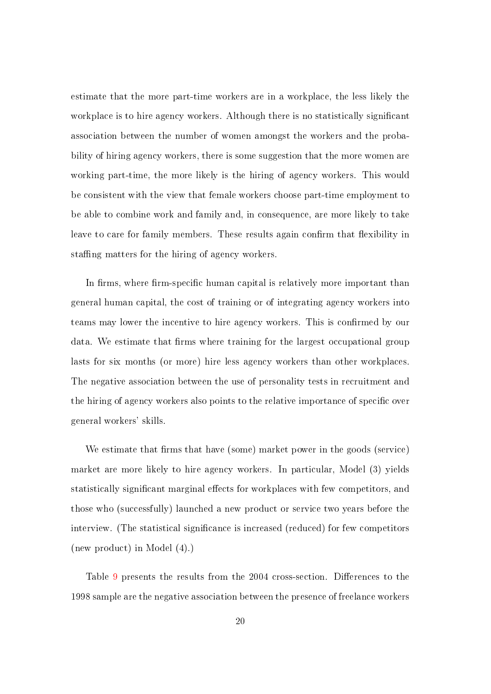estimate that the more part-time workers are in a workplace, the less likely the workplace is to hire agency workers. Although there is no statistically significant association between the number of women amongst the workers and the probability of hiring agency workers, there is some suggestion that the more women are working part-time, the more likely is the hiring of agency workers. This would be consistent with the view that female workers choose part-time employment to be able to combine work and family and, in consequence, are more likely to take leave to care for family members. These results again confirm that flexibility in staffing matters for the hiring of agency workers.

In firms, where firm-specific human capital is relatively more important than general human capital, the cost of training or of integrating agency workers into teams may lower the incentive to hire agency workers. This is confirmed by our data. We estimate that firms where training for the largest occupational group lasts for six months (or more) hire less agency workers than other workplaces. The negative association between the use of personality tests in recruitment and the hiring of agency workers also points to the relative importance of specific over general workers' skills.

We estimate that firms that have (some) market power in the goods (service) market are more likely to hire agency workers. In particular, Model (3) yields statistically significant marginal effects for workplaces with few competitors, and those who (successfully) launched a new product or service two years before the interview. (The statistical significance is increased (reduced) for few competitors (new product) in Model (4).)

Table [9](#page-38-0) presents the results from the 2004 cross-section. Differences to the 1998 sample are the negative association between the presence of freelance workers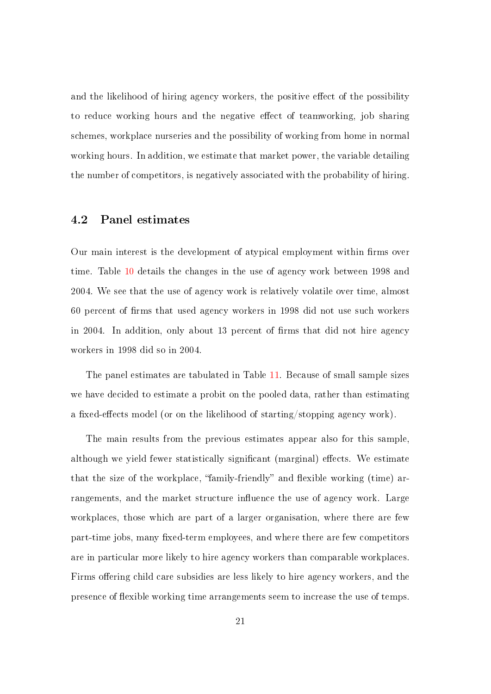and the likelihood of hiring agency workers, the positive effect of the possibility to reduce working hours and the negative effect of teamworking, job sharing schemes, workplace nurseries and the possibility of working from home in normal working hours. In addition, we estimate that market power, the variable detailing the number of competitors, is negatively associated with the probability of hiring.

#### 4.2 Panel estimates

Our main interest is the development of atypical employment within firms over time. Table [10](#page-43-0) details the changes in the use of agency work between 1998 and 2004. We see that the use of agency work is relatively volatile over time, almost 60 percent of firms that used agency workers in 1998 did not use such workers in 2004. In addition, only about 13 percent of firms that did not hire agency workers in 1998 did so in 2004.

The panel estimates are tabulated in Table [11.](#page-44-0) Because of small sample sizes we have decided to estimate a probit on the pooled data, rather than estimating a fixed-effects model (or on the likelihood of starting/stopping agency work).

The main results from the previous estimates appear also for this sample, although we yield fewer statistically significant (marginal) effects. We estimate that the size of the workplace, "family-friendly" and flexible working (time) arrangements, and the market structure influence the use of agency work. Large workplaces, those which are part of a larger organisation, where there are few part-time jobs, many fixed-term employees, and where there are few competitors are in particular more likely to hire agency workers than comparable workplaces. Firms offering child care subsidies are less likely to hire agency workers, and the presence of flexible working time arrangements seem to increase the use of temps.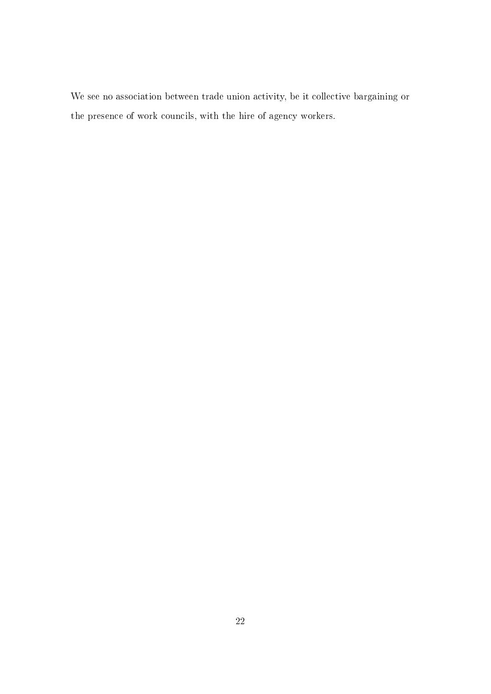We see no association between trade union activity, be it collective bargaining or the presence of work councils, with the hire of agency workers.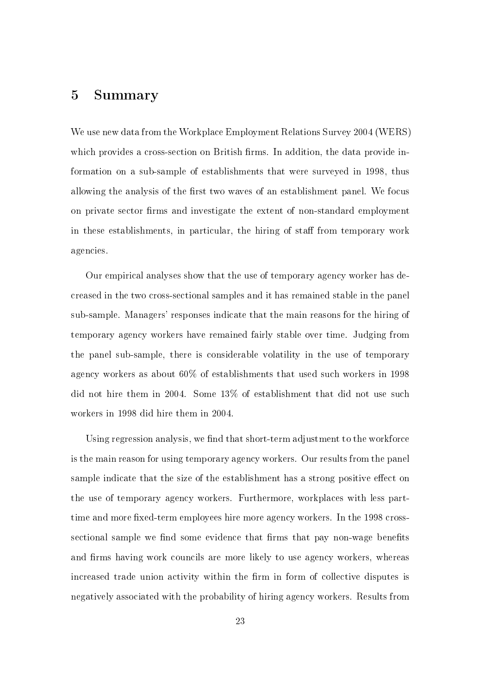### 5 Summary

We use new data from the Workplace Employment Relations Survey 2004 (WERS) which provides a cross-section on British firms. In addition, the data provide information on a sub-sample of establishments that were surveyed in 1998, thus allowing the analysis of the first two waves of an establishment panel. We focus on private sector firms and investigate the extent of non-standard employment in these establishments, in particular, the hiring of staff from temporary work agencies.

Our empirical analyses show that the use of temporary agency worker has decreased in the two cross-sectional samples and it has remained stable in the panel sub-sample. Managers' responses indicate that the main reasons for the hiring of temporary agency workers have remained fairly stable over time. Judging from the panel sub-sample, there is considerable volatility in the use of temporary agency workers as about 60% of establishments that used such workers in 1998 did not hire them in 2004. Some 13% of establishment that did not use such workers in 1998 did hire them in 2004.

Using regression analysis, we find that short-term adjustment to the workforce is the main reason for using temporary agency workers. Our results from the panel sample indicate that the size of the establishment has a strong positive effect on the use of temporary agency workers. Furthermore, workplaces with less parttime and more fixed-term employees hire more agency workers. In the 1998 crosssectional sample we find some evidence that firms that pay non-wage benefits and firms having work councils are more likely to use agency workers, whereas increased trade union activity within the firm in form of collective disputes is negatively associated with the probability of hiring agency workers. Results from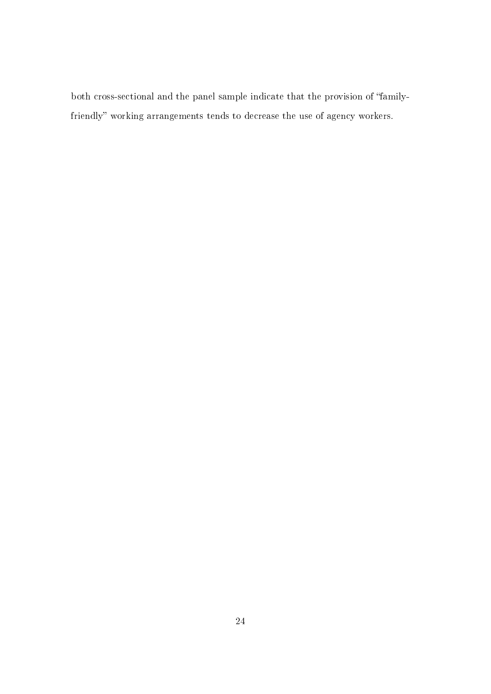both cross-sectional and the panel sample indicate that the provision of "familyfriendly" working arrangements tends to decrease the use of agency workers.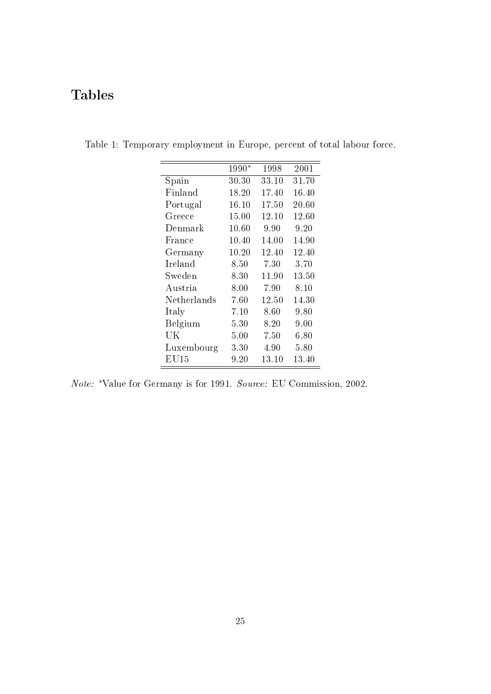## Tables

<span id="page-26-0"></span>

|             | 1990*    | 1998  | 2001     |
|-------------|----------|-------|----------|
| Spain       | 30.30    | 33.10 | 31.70    |
| Finland     | 18.20    | 17.40 | 16.40    |
| Portugal    | 16.10    | 17.50 | 20.60    |
| Greece      | 15.00    | 12.10 | 12.60    |
| Denmark     | 10.60    | 9.90  | 9.20     |
| France      | 10.40    | 14.00 | 14.90    |
| Germany     | 10.20    | 12.40 | 12.40    |
| Ireland     | 8.50     | 7.30  | 3.70     |
| Sweden      | 8.30     | 11.90 | 13.50    |
| Austria     | 8.00     | 7.90  | 8.10     |
| Netherlands | 7.60     | 12.50 | 14.30    |
| Italy       | 7.10     | 8.60  | 9.80     |
| Belgium     | 5.30     | 8.20  | 9.00     |
| UK          | $5.00\,$ | 7.50  | 6.80     |
| Luxembourg  | $3.30\,$ | 4.90  | $5.80\,$ |
| EU15        | $9.20\,$ | 13.10 | 13.40    |

Table 1: Temporary employment in Europe, percent of total labour force.

Note: <sup>∗</sup>Value for Germany is for 1991. Source: EU Commission, 2002.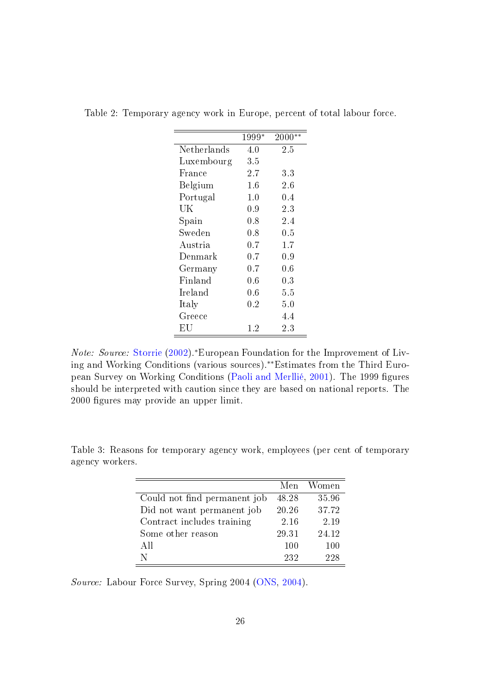|             | 1999*   | 2000**  |
|-------------|---------|---------|
| Netherlands | 4.0     | 2.5     |
| Luxembourg  | 3.5     |         |
| France      | $2.7\,$ | 3.3     |
| Belgium     | $1.6\,$ | $2.6\,$ |
| Portugal    | $1.0\,$ | $0.4\,$ |
| UK          | 0.9     | $2.3\,$ |
| Spain       | 0.8     | 2.4     |
| Sweden      | $0.8\,$ | $0.5\,$ |
| Austria     | 0.7     | 1.7     |
| Denmark     | 0.7     | 0.9     |
| Germany     | $0.7\,$ | 0.6     |
| Finland     | $0.6\,$ | $0.3\,$ |
| Ireland     | $0.6\,$ | 5.5     |
| Italy       | 0.2     | 5.0     |
| Greece      |         | 4.4     |
| ΕU          | $1.2\,$ | 2.3     |

<span id="page-27-0"></span>Table 2: Temporary agency work in Europe, percent of total labour force.

Note: Source: [Storrie](#page-49-3) [\(2002\)](#page-49-3).<sup>∗</sup>European Foundation for the Improvement of Living and Working Conditions (various sources).∗∗Estimates from the Third Euro-pean Survey on Working Conditions [\(Paoli and Merllié,](#page-49-9) [2001\)](#page-49-9). The 1999 figures should be interpreted with caution since they are based on national reports. The 2000 figures may provide an upper limit.

<span id="page-27-1"></span>

|                              |       | Men Women |
|------------------------------|-------|-----------|
| Could not find permanent job | 48.28 | 35.96     |
| Did not want permanent job   | 20.26 | 37.72     |
| Contract includes training   | 2.16  | 2.19      |
| Some other reason            | 29.31 | 24.12     |
| All                          | 100   | 100       |
|                              | 232   | 998       |

Table 3: Reasons for temporary agency work, employees (per cent of temporary agency workers.

Source: Labour Force Survey, Spring 2004 [\(ONS,](#page-49-10) [2004\)](#page-49-10).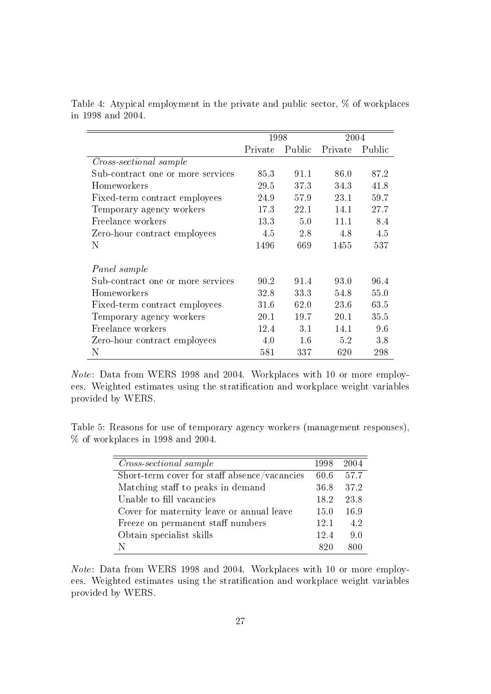<span id="page-28-0"></span>

|                                   | 1998    |         | 2004    |        |
|-----------------------------------|---------|---------|---------|--------|
|                                   | Private | Public  | Private | Public |
| Cross-sectional sample            |         |         |         |        |
| Sub-contract one or more services | 85.3    | 91.1    | 86.0    | 87.2   |
| Homeworkers                       | 29.5    | 37.3    | 34.3    | 41.8   |
| Fixed-term contract employees     | 24.9    | 57.9    | 23.1    | 59.7   |
| Temporary agency workers          | 17.3    | 22.1    | 14.1    | 27.7   |
| Freelance workers                 | 13.3    | 5.0     | 11.1    | 8.4    |
| Zero-hour contract employees      | 4.5     | 2.8     | 4.8     | 4.5    |
| Ν                                 | 1496    | 669     | 1455    | 537    |
|                                   |         |         |         |        |
| Panel sample                      |         |         |         |        |
| Sub-contract one or more services | 90.2    | 91.4    | 93.0    | 96.4   |
| Homeworkers                       | 32.8    | 33.3    | 54.8    | 55.0   |
| Fixed-term contract employees     | 31.6    | 62.0    | 23.6    | 63.5   |
| Temporary agency workers          | 20.1    | 19.7    | 20.1    | 35.5   |
| Freelance workers                 | 12.4    | 3.1     | 14.1    | 9.6    |
| Zero-hour contract employees      | 4.0     | $1.6\,$ | 5.2     | 3.8    |
| N                                 | 581     | 337     | 620     | 298    |

Table 4: Atypical employment in the private and public sector, % of workplaces in 1998 and 2004.

Note: Data from WERS 1998 and 2004. Workplaces with 10 or more employees. Weighted estimates using the stratification and workplace weight variables provided by WERS.

Table 5: Reasons for use of temporary agency workers (management responses), % of workplaces in 1998 and 2004.

| <i>Cross-sectional sample</i>                | 1998 | 2004 |
|----------------------------------------------|------|------|
| Short-term cover for staff absence/vacancies | 60.6 | 57.7 |
| Matching staff to peaks in demand            | 36.8 | 37.2 |
| Unable to fill vacancies                     | 18.2 | 23.8 |
| Cover for maternity leave or annual leave    | 15.0 | 16.9 |
| Freeze on permanent staff numbers            | 12.1 | 4.2  |
| Obtain specialist skills                     | 12.4 | 9.0  |
|                                              | 820  | 800  |

Note: Data from WERS 1998 and 2004. Workplaces with 10 or more employees. Weighted estimates using the stratification and workplace weight variables provided by WERS.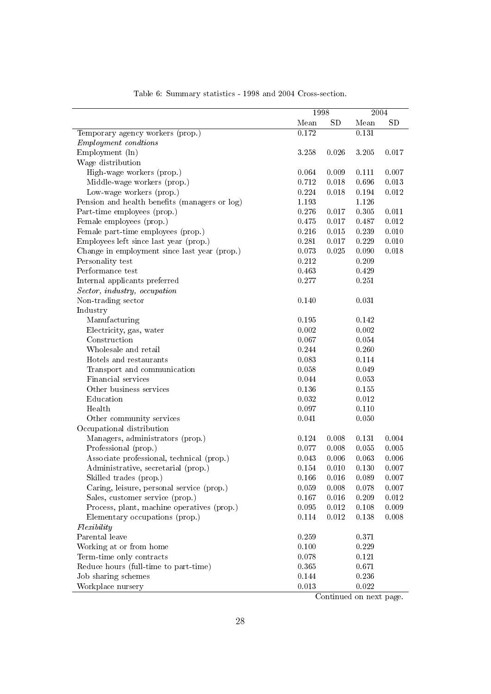|                                               | 1998  |             |       | 2004      |
|-----------------------------------------------|-------|-------------|-------|-----------|
|                                               | Mean  | <b>SD</b>   | Mean  | <b>SD</b> |
| Temporary agency workers (prop.)              | 0.172 |             | 0.131 |           |
| <i>Employment condtions</i>                   |       |             |       |           |
| Employment (ln)                               | 3.258 | 0.026       | 3.205 | 0.017     |
| Wage distribution                             |       |             |       |           |
| High-wage workers (prop.)                     | 0.064 | 0.009       | 0.111 | 0.007     |
| Middle-wage workers (prop.)                   | 0.712 | 0.018       | 0.696 | 0.013     |
| Low-wage workers (prop.)                      | 0.224 | 0.018       | 0.194 | 0.012     |
| Pension and health benefits (managers or log) | 1.193 |             | 1.126 |           |
| Part-time employees (prop.)                   | 0.276 | 0.017       | 0.305 | 0.011     |
| Female employees (prop.)                      | 0.475 | 0.017       | 0.487 | 0.012     |
| Female part-time employees (prop.)            | 0.216 | 0.015       | 0.239 | 0.010     |
| Employees left since last year (prop.)        | 0.281 | 0.017       | 0.229 | 0.010     |
| Change in employment since last year (prop.)  | 0.073 | 0.025       | 0.090 | 0.018     |
| Personality test                              | 0.212 |             | 0.209 |           |
| Performance test                              | 0.463 |             | 0.429 |           |
| Internal applicants preferred                 | 0.277 |             | 0.251 |           |
| Sector, industry, occupation                  |       |             |       |           |
| Non-trading sector                            | 0.140 |             | 0.031 |           |
| Industry                                      |       |             |       |           |
| Manufacturing                                 | 0.195 |             | 0.142 |           |
| Electricity, gas, water                       | 0.002 |             | 0.002 |           |
| Construction                                  | 0.067 |             | 0.054 |           |
| Wholesale and retail                          | 0.244 |             | 0.260 |           |
| Hotels and restaurants                        | 0.083 |             | 0.114 |           |
| Transport and communication                   | 0.058 |             | 0.049 |           |
| Financial services                            | 0.044 |             | 0.053 |           |
| Other business services                       | 0.136 |             | 0.155 |           |
| Education                                     | 0.032 |             | 0.012 |           |
| Health                                        | 0.097 |             | 0.110 |           |
| Other community services                      | 0.041 |             | 0.050 |           |
| Occupational distribution                     |       |             |       |           |
| Managers, administrators (prop.)              | 0.124 | 0.008       | 0.131 | 0.004     |
| Professional (prop.)                          | 0.077 | 0.008       | 0.055 | $0.005\,$ |
| Associate professional, technical (prop.)     | 0.043 | 0.006       | 0.063 | 0.006     |
| Administrative, secretarial (prop.)           | 0.154 | 0.010       | 0.130 | $0.007\,$ |
| Skilled trades (prop.)                        | 0.166 | 0.016       | 0.089 | 0.007     |
| Caring, leisure, personal service (prop.)     | 0.059 | 0.008       | 0.078 | 0.007     |
| Sales, customer service (prop.)               | 0.167 | 0.016       | 0.209 | 0.012     |
| Process, plant, machine operatives (prop.)    | 0.095 | 0.012       | 0.108 | 0.009     |
| Elementary occupations (prop.)                | 0.114 | $\,0.012\,$ | 0.138 | 0.008     |
| Flexibility                                   |       |             |       |           |
| Parental leave                                | 0.259 |             | 0.371 |           |
| Working at or from home                       | 0.100 |             | 0.229 |           |
| Term-time only contracts                      | 0.078 |             | 0.121 |           |
| Reduce hours (full-time to part-time)         | 0.365 |             | 0.671 |           |
| Job sharing schemes                           | 0.144 |             | 0.236 |           |
| Workplace nursery                             | 0.013 |             | 0.022 |           |

Table 6: Summary statistics - 1998 and 2004 Cross-section.

Continued on next page.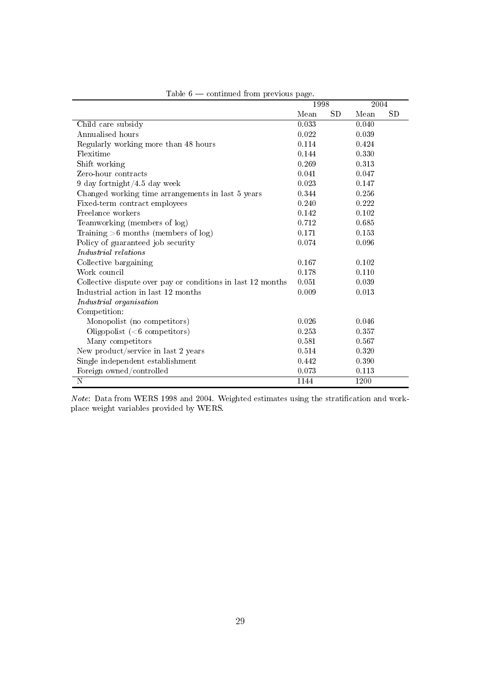|                                                             | 1998  |            | 2004  |           |
|-------------------------------------------------------------|-------|------------|-------|-----------|
|                                                             | Mean  | ${\rm SD}$ | Mean  | <b>SD</b> |
| Child care subsidy                                          | 0.033 |            | 0.040 |           |
| Annualised hours                                            | 0.022 |            | 0.039 |           |
| Regularly working more than 48 hours                        | 0.114 |            | 0.424 |           |
| Flexitime                                                   | 0.144 |            | 0.330 |           |
| Shift working                                               | 0.269 |            | 0.313 |           |
| Zero-hour contracts                                         | 0.041 |            | 0.047 |           |
| 9 day fortnight/4.5 day week                                | 0.023 |            | 0.147 |           |
| Changed working time arrangements in last 5 years           | 0.344 |            | 0.256 |           |
| Fixed-term contract employees                               | 0.240 |            | 0.222 |           |
| Freelance workers                                           | 0.142 |            | 0.102 |           |
| Teamworking (members of log)                                | 0.712 |            | 0.685 |           |
| Training $>6$ months (members of log)                       | 0.171 |            | 0.153 |           |
| Policy of guaranteed job security                           | 0.074 |            | 0.096 |           |
| Industrial relations                                        |       |            |       |           |
| Collective bargaining                                       | 0.167 |            | 0.102 |           |
| Work council                                                | 0.178 |            | 0.110 |           |
| Collective dispute over pay or conditions in last 12 months | 0.051 |            | 0.039 |           |
| Industrial action in last 12 months                         | 0.009 |            | 0.013 |           |
| Industrial organisation                                     |       |            |       |           |
| Competition:                                                |       |            |       |           |
| Monopolist (no competitors)                                 | 0.026 |            | 0.046 |           |
| Oligopolist $(6$ competitors)                               | 0.253 |            | 0.357 |           |
| Many competitors                                            | 0.581 |            | 0.567 |           |
| New product/service in last 2 years                         | 0.514 |            | 0.320 |           |
| Single independent establishment                            | 0.442 |            | 0.390 |           |
| Foreign owned/controlled                                    | 0.073 |            | 0.113 |           |
| N                                                           | 1144  |            | 1200  |           |

|  | Table $6$ — continued from previous page. |  |  |
|--|-------------------------------------------|--|--|
|  |                                           |  |  |

 $Note: Data from WERS 1998 and 2004. Weighted estimates using the stratification and work$ place weight variables provided by WERS.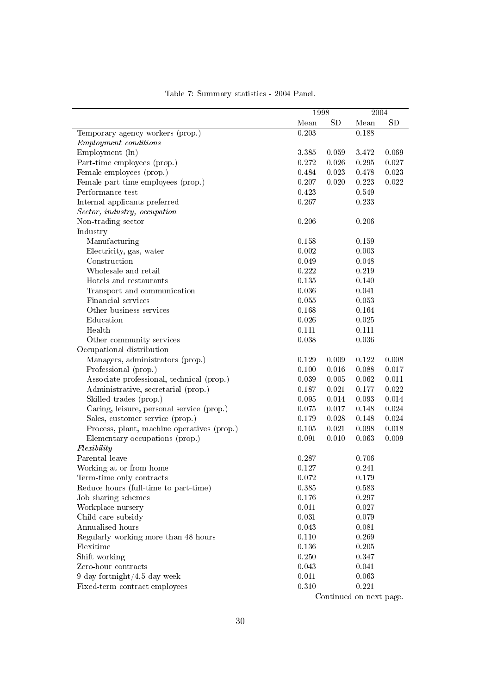|                                            |           | 1998      |           | 2004      |
|--------------------------------------------|-----------|-----------|-----------|-----------|
|                                            | Mean      | <b>SD</b> | Mean      | <b>SD</b> |
| Temporary agency workers (prop.)           | 0.203     |           | 0.188     |           |
| <i>Employment conditions</i>               |           |           |           |           |
| Employment (ln)                            | 3.385     | 0.059     | 3.472     | 0.069     |
| Part-time employees (prop.)                | 0.272     | 0.026     | $0.295\,$ | 0.027     |
| Female employees (prop.)                   | 0.484     | 0.023     | 0.478     | 0.023     |
| Female part-time employees (prop.)         | 0.207     | 0.020     | 0.223     | 0.022     |
| Performance test                           | 0.423     |           | 0.549     |           |
| Internal applicants preferred              | 0.267     |           | 0.233     |           |
| Sector, industry, occupation               |           |           |           |           |
| Non-trading sector                         | 0.206     |           | 0.206     |           |
| Industry                                   |           |           |           |           |
| Manufacturing                              | 0.158     |           | 0.159     |           |
| Electricity, gas, water                    | 0.002     |           | 0.003     |           |
| Construction                               | 0.049     |           | 0.048     |           |
| Wholesale and retail                       | 0.222     |           | 0.219     |           |
| Hotels and restaurants                     | 0.135     |           | 0.140     |           |
| Transport and communication                | 0.036     |           | 0.041     |           |
| Financial services                         | $0.055\,$ |           | 0.053     |           |
| Other business services                    | 0.168     |           | 0.164     |           |
| Education                                  | 0.026     |           | 0.025     |           |
| Health                                     | 0.111     |           | 0.111     |           |
| Other community services                   | 0.038     |           | 0.036     |           |
| Occupational distribution                  |           |           |           |           |
| Managers, administrators (prop.)           | 0.129     | 0.009     | 0.122     | 0.008     |
| Professional (prop.)                       | 0.100     | 0.016     | 0.088     | 0.017     |
| Associate professional, technical (prop.)  | 0.039     | 0.005     | 0.062     | 0.011     |
| Administrative, secretarial (prop.)        | 0.187     | 0.021     | 0.177     | 0.022     |
| Skilled trades (prop.)                     | 0.095     | 0.014     | 0.093     | 0.014     |
| Caring, leisure, personal service (prop.)  | 0.075     | 0.017     | 0.148     | 0.024     |
| Sales, customer service (prop.)            | 0.179     | 0.028     | 0.148     | 0.024     |
| Process, plant, machine operatives (prop.) | 0.105     | 0.021     | 0.098     | 0.018     |
| Elementary occupations (prop.)             | 0.091     | 0.010     | 0.063     | 0.009     |
| Flexibility                                |           |           |           |           |
| Parental leave                             | 0.287     |           | 0.706     |           |
| Working at or from home                    | 0.127     |           | 0.241     |           |
| Term-time only contracts                   | 0.072     |           | 0.179     |           |
| Reduce hours (full-time to part-time)      | 0.385     |           | 0.583     |           |
| Job sharing schemes                        | 0.176     |           | 0.297     |           |
| Workplace nursery                          | 0.011     |           | 0.027     |           |
| Child care subsidy                         | 0.031     |           | 0.079     |           |
| Annualised hours                           | 0.043     |           | 0.081     |           |
| Regularly working more than 48 hours       | 0.110     |           | 0.269     |           |
| Flexitime                                  | 0.136     |           | $0.205\,$ |           |
| Shift working                              | 0.250     |           | 0.347     |           |
| Zero-hour contracts                        | 0.043     |           | 0.041     |           |
| $9$ day fortnight/4.5 day week             | 0.011     |           | 0.063     |           |
| Fixed-term contract employees              | 0.310     |           | 0.221     |           |

Table 7: Summary statistics - 2004 Panel.

Continued on next page.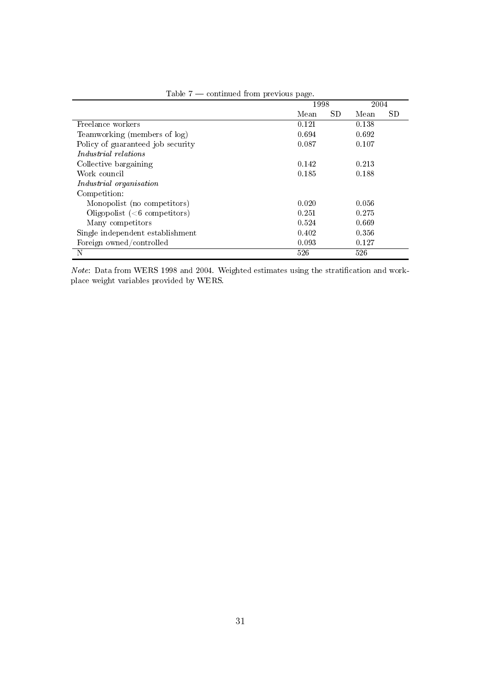|                                   | 1998  |     | 2004  |           |
|-----------------------------------|-------|-----|-------|-----------|
|                                   | Mean  | SD. | Mean  | <b>SD</b> |
| Freelance workers                 | 0.121 |     | 0.138 |           |
| Teamworking (members of log)      | 0.694 |     | 0.692 |           |
| Policy of guaranteed job security | 0.087 |     | 0.107 |           |
| Industrial relations              |       |     |       |           |
| Collective bargaining             | 0.142 |     | 0.213 |           |
| Work council                      | 0.185 |     | 0.188 |           |
| Industrial organisation           |       |     |       |           |
| Competition:                      |       |     |       |           |
| Monopolist (no competitors)       | 0.020 |     | 0.056 |           |
| Oligopolist $(6$ competitors)     | 0.251 |     | 0.275 |           |
| Many competitors                  | 0.524 |     | 0.669 |           |
| Single independent establishment  | 0.402 |     | 0.356 |           |
| Foreign owned/controlled          | 0.093 |     | 0.127 |           |
| N                                 | 526   |     | 526   |           |

|  |  | Table $7$ — continued from previous page. |  |
|--|--|-------------------------------------------|--|
|  |  |                                           |  |

Note: Data from WERS 1998 and 2004. Weighted estimates using the stratification and workplace weight variables provided by WERS.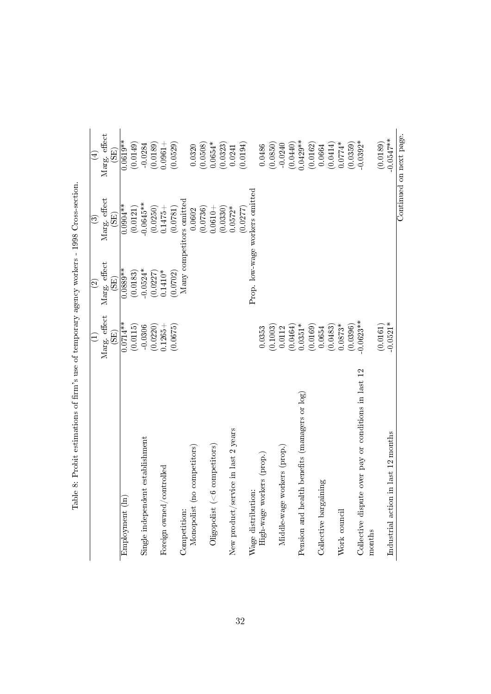|                                                                | Marg. effect<br>$\widetilde{\Xi}$ | Marg. effect<br>$\widetilde{\text{}}(5)$<br>$\widehat{\mathfrak{S}}$ | Marg. effect<br>$\widetilde{\mathrm{(SB)}}$<br>$\widehat{\odot}$ | Marg. effect<br>$\widetilde{\mathrm{(SB)}}$<br>$\left( 4\right)$ |
|----------------------------------------------------------------|-----------------------------------|----------------------------------------------------------------------|------------------------------------------------------------------|------------------------------------------------------------------|
| Employment (ln)                                                | $0.0714**$                        | $0.0889**$                                                           | $0.0904**$                                                       | $0.0619**$                                                       |
|                                                                | (0.0115)                          | (0.0183)                                                             | (0.0121)                                                         | (0.0149)                                                         |
| Single independent establishment                               | $-0.0306$                         | $-0.0524*$                                                           | $-0.0645**$                                                      | $-0.0284$                                                        |
|                                                                | (0.0220)                          | (0.0227)                                                             | (0.0250)                                                         | (0.0189)                                                         |
| Foreign owned/controlled                                       | $0.1265 +$                        | $0.1410*$                                                            | $0.1475 +$                                                       | $0.0961 +$                                                       |
|                                                                | (0.0675)                          | (0.0702)                                                             | (0.0781)                                                         | (0.0529)                                                         |
| Competition:                                                   |                                   |                                                                      | Many competitors omitted                                         |                                                                  |
| Monopolist (no competitors)                                    |                                   |                                                                      | 0.0602                                                           | 0.0320                                                           |
|                                                                |                                   |                                                                      | (0.0736)                                                         | (0.0508)                                                         |
| Oligopolist (<6 competitors)                                   |                                   |                                                                      | $0.0610 +$                                                       | $0.0654*$                                                        |
|                                                                |                                   |                                                                      | (0.0330)                                                         | (0.0323)                                                         |
| New product/service in last 2 years                            |                                   |                                                                      | $0.0572*$                                                        | 0.0241                                                           |
|                                                                |                                   |                                                                      | (0.0277)                                                         | (0.0194)                                                         |
| Wage distribution:                                             |                                   |                                                                      | Prop. low-wage workers omitted                                   |                                                                  |
| High-wage workers (prop.)                                      | 0.0353                            |                                                                      |                                                                  | 0.0486                                                           |
|                                                                | (0.1003)                          |                                                                      |                                                                  | (0.0850)                                                         |
| Middle-wage workers (prop.)                                    | 0.0112                            |                                                                      |                                                                  | $-0.0240$                                                        |
|                                                                | (0.0464)                          |                                                                      |                                                                  | (0.0440)                                                         |
| Pension and health benefits (managers or log)                  | $0.0351*$                         |                                                                      |                                                                  | $0.0429**$                                                       |
|                                                                | (0.0169)                          |                                                                      |                                                                  | (0.0162)                                                         |
| Collective bargaining                                          | 0.0654                            |                                                                      |                                                                  | 0.0664                                                           |
|                                                                | (0.0483)                          |                                                                      |                                                                  | (0.0414)                                                         |
| Work council                                                   | $0.0873*$                         |                                                                      |                                                                  | $0.0774*$                                                        |
|                                                                | (0.0396)                          |                                                                      |                                                                  | (0.0359)                                                         |
| Collective dispute over pay or conditions in last 12<br>months | $0.0623**$                        |                                                                      |                                                                  | $0.0392*$                                                        |
|                                                                | (0.0161)                          |                                                                      |                                                                  | (0.0189)                                                         |
| in last 12 months<br>Industrial action                         | $-0.0521*$                        |                                                                      |                                                                  | $-0.0547**$                                                      |
|                                                                |                                   |                                                                      |                                                                  | Continued on next page.                                          |

<span id="page-33-0"></span>Table 8: Probit estimations of firm's use of temporary agency workers - 1998 Cross-section. Table 8: Probit estimations of rm's use of temporary agency workers - 1998 Cross-section.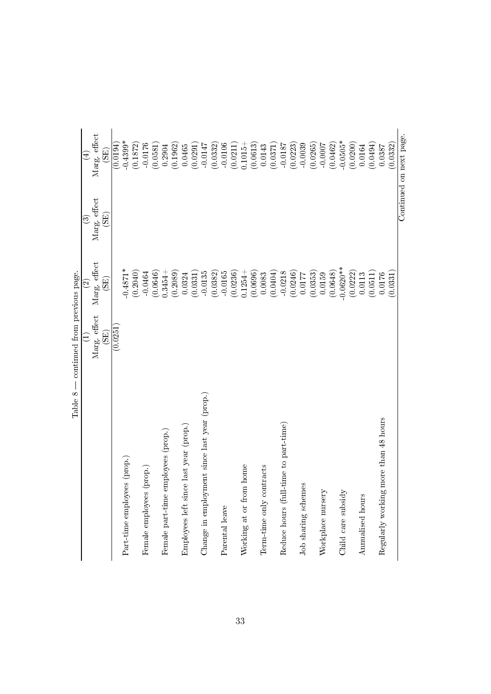| Marg. effect<br>(0.0251)<br>$\widehat{\Xi}$<br>E<br>Change in employment since last year (prop.)<br>Employees left since last year (prop.)<br>employees (prop.)<br>Part-time employees (prop.)<br>Female employees (prop.)<br>Female part-time | Marg. effect<br>$-0.4871*$<br>(0.2040)<br>(0.0646)<br>(0.2089)<br>(0.0382)<br>$-0.0464$<br>$0.3454 +$<br>$-0.0135$<br>(0.0331)<br>0.0324<br>$\widetilde{\mathrm{GB}}$<br>$\widehat{\infty}$ | Marg. effect<br>$\widetilde{\mathrm{(SB)}}$<br>ව | Marg. effect<br>$-0.4399*$<br>(0.0194)<br>(0.1872)<br>$-0.0176$<br>(0.1962)<br>(0.0581)<br>0.2904<br>0.0465<br>$\widetilde{\mathrm{EB}})$<br>$\bigoplus$ |
|------------------------------------------------------------------------------------------------------------------------------------------------------------------------------------------------------------------------------------------------|---------------------------------------------------------------------------------------------------------------------------------------------------------------------------------------------|--------------------------------------------------|----------------------------------------------------------------------------------------------------------------------------------------------------------|
|                                                                                                                                                                                                                                                |                                                                                                                                                                                             |                                                  |                                                                                                                                                          |
|                                                                                                                                                                                                                                                |                                                                                                                                                                                             |                                                  |                                                                                                                                                          |
|                                                                                                                                                                                                                                                |                                                                                                                                                                                             |                                                  |                                                                                                                                                          |
|                                                                                                                                                                                                                                                |                                                                                                                                                                                             |                                                  |                                                                                                                                                          |
|                                                                                                                                                                                                                                                |                                                                                                                                                                                             |                                                  |                                                                                                                                                          |
|                                                                                                                                                                                                                                                |                                                                                                                                                                                             |                                                  |                                                                                                                                                          |
|                                                                                                                                                                                                                                                |                                                                                                                                                                                             |                                                  |                                                                                                                                                          |
|                                                                                                                                                                                                                                                |                                                                                                                                                                                             |                                                  |                                                                                                                                                          |
|                                                                                                                                                                                                                                                |                                                                                                                                                                                             |                                                  |                                                                                                                                                          |
|                                                                                                                                                                                                                                                |                                                                                                                                                                                             |                                                  |                                                                                                                                                          |
|                                                                                                                                                                                                                                                |                                                                                                                                                                                             |                                                  | (0.0291)                                                                                                                                                 |
|                                                                                                                                                                                                                                                |                                                                                                                                                                                             |                                                  | $-0.0147$                                                                                                                                                |
|                                                                                                                                                                                                                                                |                                                                                                                                                                                             |                                                  | (0.0332)                                                                                                                                                 |
| Parental leave                                                                                                                                                                                                                                 | $-0.0165$                                                                                                                                                                                   |                                                  | $-0.0106$                                                                                                                                                |
|                                                                                                                                                                                                                                                | (0.0236)                                                                                                                                                                                    |                                                  | (0.0211)                                                                                                                                                 |
| Working at or from home                                                                                                                                                                                                                        | $0.1254 +$                                                                                                                                                                                  |                                                  | $0.1015 +$                                                                                                                                               |
|                                                                                                                                                                                                                                                | (0.0696)                                                                                                                                                                                    |                                                  | (0.0613)                                                                                                                                                 |
| Term-time only contracts                                                                                                                                                                                                                       | 0.0083                                                                                                                                                                                      |                                                  | 0.0143                                                                                                                                                   |
|                                                                                                                                                                                                                                                | (0.0404)                                                                                                                                                                                    |                                                  | (0.0371)                                                                                                                                                 |
| Reduce hours (full-time to part-time)                                                                                                                                                                                                          | $-0.0218$                                                                                                                                                                                   |                                                  | $-0.0187$                                                                                                                                                |
|                                                                                                                                                                                                                                                | (0.0246)                                                                                                                                                                                    |                                                  | (0.0223)                                                                                                                                                 |
| Job sharing schemes                                                                                                                                                                                                                            | 0.0177                                                                                                                                                                                      |                                                  | $-0.0039$                                                                                                                                                |
|                                                                                                                                                                                                                                                | (0.0353)                                                                                                                                                                                    |                                                  | (0.0265)                                                                                                                                                 |
| Workplace nursery                                                                                                                                                                                                                              | 0.0159                                                                                                                                                                                      |                                                  | $-0.0007$                                                                                                                                                |
|                                                                                                                                                                                                                                                | (0.0648)                                                                                                                                                                                    |                                                  | (0.0462)                                                                                                                                                 |
| Child care subsidy                                                                                                                                                                                                                             | $0.0620**$                                                                                                                                                                                  |                                                  | $-0.0505*$                                                                                                                                               |
|                                                                                                                                                                                                                                                | (0.0222)                                                                                                                                                                                    |                                                  | (0.0200)                                                                                                                                                 |
| Annualised hours                                                                                                                                                                                                                               | 0.0113                                                                                                                                                                                      |                                                  | 0.0164                                                                                                                                                   |
|                                                                                                                                                                                                                                                | (0.0511)                                                                                                                                                                                    |                                                  | (0.0494)                                                                                                                                                 |
| Regularly working more than 48 hours                                                                                                                                                                                                           | 0.0176                                                                                                                                                                                      |                                                  | 0.0387                                                                                                                                                   |
|                                                                                                                                                                                                                                                | (0.0331)                                                                                                                                                                                    |                                                  | (0.0332)                                                                                                                                                 |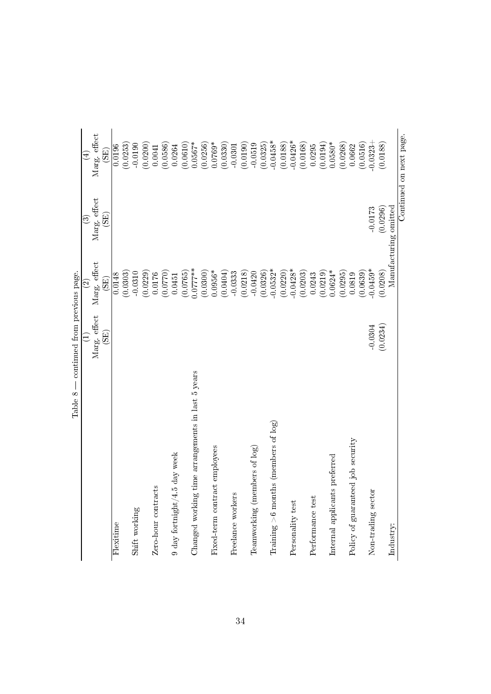| Table 8                                               | continued from previous page.      |                                   |                                   |                                   |
|-------------------------------------------------------|------------------------------------|-----------------------------------|-----------------------------------|-----------------------------------|
|                                                       | $\widehat{\Xi}$                    | $\widehat{\infty}$                | ⊙ි                                | $\bigoplus$                       |
|                                                       | Marg. effect<br>$\left( 5E\right)$ | Marg. effect<br>$\widetilde{\Xi}$ | Marg. effect<br>$\widetilde{\Xi}$ | Marg. effect<br>$\widetilde{\Xi}$ |
| Flexitime                                             |                                    | 0.0148                            |                                   | 0.0196                            |
|                                                       |                                    | (0.0303)                          |                                   | (0.0253)                          |
| Shift working                                         |                                    | $-0.0310$                         |                                   | $-0.0190$                         |
|                                                       |                                    | (0.0229)                          |                                   | (0.0200)                          |
| Zero-hour contracts                                   |                                    | 0.0176                            |                                   | 0.0041                            |
|                                                       |                                    | 0.0770                            |                                   | (0.0586)                          |
| 5 day week<br>$9$ day for<br>tnight/4 $\,$            |                                    | 0.0451                            |                                   | 0.0264                            |
|                                                       |                                    | (0.0765)                          |                                   | (0.0610)                          |
| time arrangements in last 5 years<br>Changed working  |                                    | $0.0777**$                        |                                   | $0.0567*$                         |
|                                                       |                                    | (0.0300)                          |                                   | (0.0256)                          |
| Fixed-term contract employees                         |                                    | $0.0956*$                         |                                   | $0.0769*$                         |
|                                                       |                                    | (0.0404)                          |                                   | (0.0330)                          |
| Freelance workers                                     |                                    | $-0.0333$                         |                                   | $-0.0301$                         |
|                                                       |                                    | (0.0218)                          |                                   | (0.0190)                          |
| Teamworking (members of log)                          |                                    | $-0.0420$                         |                                   | $-0.0519$                         |
|                                                       |                                    | (0.0326)                          |                                   | (0.0325)                          |
| $\text{Training} > 6 \text{ months}$ (members of log) |                                    | $-0.0532*$                        |                                   | $-0.0458*$                        |
|                                                       |                                    | (0.0220)                          |                                   | (0.0188)                          |
| Personality test                                      |                                    | $-0.0428*$                        |                                   | $-0.0426*$                        |
|                                                       |                                    | (0.0203)                          |                                   | (0.0168)                          |
| Performance test                                      |                                    | 0.0243                            |                                   | 0.0295                            |
|                                                       |                                    | (0.0219)                          |                                   | (0.0194)                          |
| ts preferred<br>Internal applicant                    |                                    | $0.0624*$                         |                                   | $0.0580*$                         |
|                                                       |                                    | (0.0295)                          |                                   | (0.0268)                          |
| Policy of guaranteed job security                     |                                    | 0.0819                            |                                   | 0.0662                            |
|                                                       |                                    | (0.0639)                          |                                   | (0.0516)                          |
| Non-trading sector                                    | $-0.0304$                          | $-0.0459*$                        | $-0.0173$                         | $-0.0323$                         |
|                                                       | (0.0234)                           | (0.0208)                          | (0.0296)                          | (0.0188)                          |
| Industry:                                             |                                    |                                   | Manufacturing omitted             |                                   |
|                                                       |                                    |                                   |                                   | Continued on next page.           |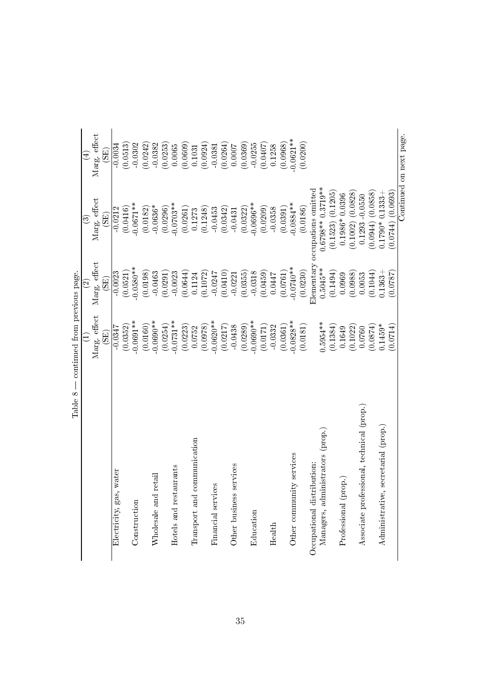|                                           | continued from previous page.   |                                            |                                         |                                   |
|-------------------------------------------|---------------------------------|--------------------------------------------|-----------------------------------------|-----------------------------------|
|                                           |                                 | $\widehat{\infty}$                         | ව                                       | $\widehat{\mathbb{E}}$            |
|                                           | Marg. effect<br>$\widehat{\Xi}$ | Marg. effect<br>$\widetilde{\mathrm{EB}})$ | Marg. effect<br>$\widetilde{\text{EB}}$ | Marg. effect<br>$\widetilde{\Xi}$ |
| Electricity, gas, water                   | $-0.0347$                       | $-0.0023$                                  | $-0.0212$                               | $-0.0034$                         |
|                                           | (0.0352)                        | (0.0521)                                   | (0.0416)                                | (0.0513)                          |
| Construction                              | $-0.0691**$                     | $-0.0580**$                                | $0.0671**$                              | $-0.0302$                         |
|                                           | (0.0160)                        | (0.0198)                                   | (0.0182)                                | (0.0242)                          |
| retail<br>Wholesale and                   | $-0.0690**$                     | $-0.0463$                                  | $-0.0636*$                              | $-0.0382$                         |
|                                           | (0.0254)                        | (0.0291)                                   | (0.0296)                                | (0.0253)                          |
| Hotels and restaurants                    | $-0.0731**$                     | $-0.0023$                                  | $-0.0703**$                             | 0.0065                            |
|                                           | (0.0223)                        | (0.0644)                                   | (0.0261)                                | (0.0609)                          |
| communication<br>Transport and            | 0.0752                          | 0.1124                                     | 0.1273                                  | 0.1031                            |
|                                           | (0.0978)                        | (0.1072)                                   | (0.1248)                                | 0.0924                            |
| ceS<br>Financial servi                    | $0.0620**$                      | $-0.0247$                                  | $-0.0453$                               | $-0.0381$                         |
|                                           | (0.0217)                        | 0.0410                                     | (0.0342)                                | (0.0264)                          |
| services<br>Other business                | $-0.0438$                       | $-0.0221$                                  | $-0.0431$                               | 0.0007                            |
|                                           | (0.0289)                        | (0.0355)                                   | (0.0322)                                | (0.0369)                          |
| Education                                 | $-0.0690**$                     | $-0.0318$                                  | $-0.0696**$                             | $-0.0255$                         |
|                                           | (0.0171)                        | (0.0459)                                   | (0.0209)                                | <b>LOFO:0</b>                     |
| Health                                    | $-0.0332$                       | 0.0447                                     | $-0.0358$                               | 0.1258                            |
|                                           | (0.0361)                        | (0.0761)                                   | (0.0391)                                | (0.0968)                          |
| Other community services                  | $0.0828***$                     | $-0.0740**$                                | $0.0884**$                              | $0.0621**$                        |
|                                           | (0.0181)                        | (0.0230)                                   | (0.0186)                                | (0.0200)                          |
| Occupational distribution:                |                                 | Elementary                                 | occupations omitted                     |                                   |
| Managers, administrators (prop.)          | $0.5954***$                     | $0.5045***$                                | $0.6798**0.3719**$                      |                                   |
|                                           | (0.1384)                        | (0.1494)                                   | $(0.1523)$ $(0.1205)$                   |                                   |
| Professional (prop.)                      | 0.1649                          | 0.0969                                     | $0.1986*0.0396$                         |                                   |
|                                           | (0.1022)                        | (0.0988)                                   | $(0.1002)$ $(0.0828)$                   |                                   |
| Associate professional, technical (prop.) | 0.0760                          | 0.0053                                     | $0.1293 - 0.0550$                       |                                   |
|                                           | (0.0874)                        | (0.1044)                                   | (0.0858)<br>(0.0944)                    |                                   |
| Administrative, secretarial (prop.)       | $0.1459*$                       | $0.1363 +$                                 | $0.1333 +$<br>$0.1790*$                 |                                   |
|                                           | (0.0714)                        | (0.0787)                                   | $(0.0744)$ $(0.0693)$                   |                                   |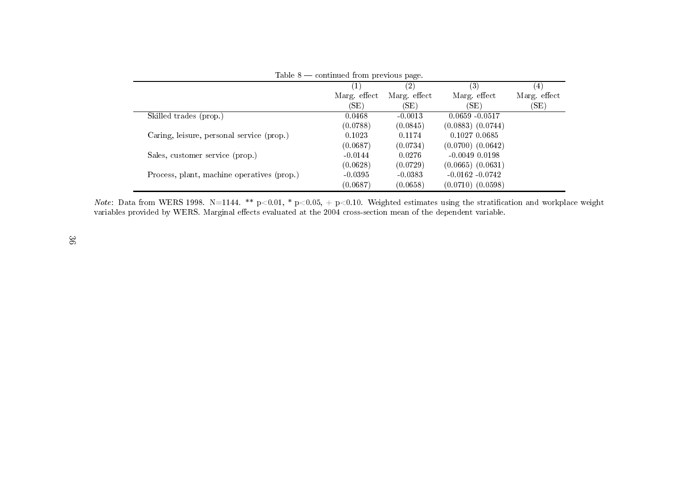|                                            | Table $8$ — continued from previous page. |              |                       |                   |
|--------------------------------------------|-------------------------------------------|--------------|-----------------------|-------------------|
|                                            |                                           | (2)          | (3)                   | $\left( 4\right)$ |
|                                            | Marg. effect                              | Marg. effect | Marg. effect          | Marg. effect      |
|                                            | (SE)                                      | (SE)         | (SE)                  | (SE)              |
| Skilled trades (prop.)                     | 0.0468                                    | $-0.0013$    | $0.0659 - 0.0517$     |                   |
|                                            | (0.0788)                                  | (0.0845)     | $(0.0883)$ $(0.0744)$ |                   |
| Caring, leisure, personal service (prop.)  | 0.1023                                    | 0.1174       | 0.1027 0.0685         |                   |
|                                            | (0.0687)                                  | (0.0734)     | $(0.0700)$ $(0.0642)$ |                   |
| Sales, customer service (prop.)            | $-0.0144$                                 | 0.0276       | $-0.0049$ $0.0198$    |                   |
|                                            | (0.0628)                                  | (0.0729)     | $(0.0665)$ $(0.0631)$ |                   |
| Process, plant, machine operatives (prop.) | $-0.0395$                                 | $-0.0383$    | $-0.0162 - 0.0742$    |                   |
|                                            | (0.0687)                                  | (0.0658)     | $(0.0710)$ $(0.0598)$ |                   |

*Note*: Data from WERS 1998. N=1144. \*\* p<0.01, \* p<0.05, + p<0.10. Weighted estimates using the stratification and workplace weight<br>variables provided by WERS. Marginal effects evaluated at the 2004 cross-section mean of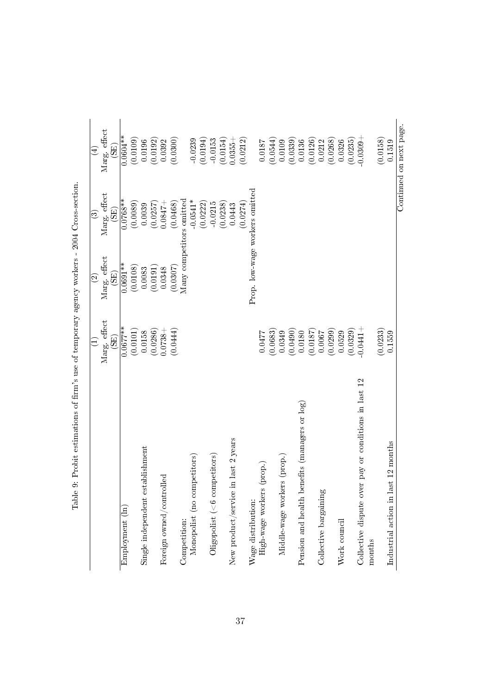|                                                      |                                         | $\widehat{\circ}$                 | ව                                 | $\bigoplus$             |
|------------------------------------------------------|-----------------------------------------|-----------------------------------|-----------------------------------|-------------------------|
|                                                      | Marg. effect<br>$\widetilde{\text{EB}}$ | Marg. effect<br>$\widetilde{\Xi}$ | Marg. effect<br>$\widetilde{\Xi}$ | Marg. effect<br>(SE)    |
| Employment (ln)                                      | $0.0677***$                             | $0.0691**$                        | $0.0768**$                        | $0.0604**$              |
|                                                      | (0.0101)                                | (0.0108)                          | (0.0089)                          | (0.0109)                |
| Single independent establishment                     | 0.0158                                  | 0.0083                            | 0.0039                            | 0.0196                  |
|                                                      | (0.0286)                                | (0.0191)                          | (0.0257)                          | (0.0192)                |
| Foreign owned/controlled                             | $-8610,000$                             | 0.0348                            | $0.0847 +$                        | 0.0392                  |
|                                                      | (0.0444)                                | (0.0307)                          | (0.0468)                          | (0.0300)                |
| Competition:                                         |                                         | Many competitors omitted          |                                   |                         |
| Monopolist (no competitors)                          |                                         |                                   | $0.0541*$                         | 0.0239                  |
|                                                      |                                         |                                   | (0.0222)                          | (0.0194)                |
| $O$ ligopolist (<6 competitors)                      |                                         |                                   | $-0.0215$                         | $-0.0153$               |
|                                                      |                                         |                                   | (0.0238)                          | (0.0154)                |
| in last 2 years<br>New product/service               |                                         |                                   | 0.0443                            | $0.0355 +$              |
|                                                      |                                         |                                   | (0.0274)                          | (0.0212)                |
| Wage distribution:                                   |                                         | Prop. low-wage workers omitted    |                                   |                         |
| (prop.)<br>High-wage workers                         | 0.0477                                  |                                   |                                   | 0.0187                  |
|                                                      | 0.0683                                  |                                   |                                   | (0.0544)                |
| Middle-wage workers (prop.)                          | 0.0349                                  |                                   |                                   | 0.0109                  |
|                                                      | (0.0490)                                |                                   |                                   | (0.0339)                |
| Pension and health benefits (managers or log)        | 0.0180                                  |                                   |                                   | 0.0136                  |
|                                                      | (0.0187)                                |                                   |                                   | (0.0126)                |
| Collective bargaining                                | 0.0067                                  |                                   |                                   | 0.0212                  |
|                                                      | (0.0299)                                |                                   |                                   | (0.0268)                |
| Work council                                         | 0.0529                                  |                                   |                                   | 0.0326                  |
|                                                      | (0.0329)                                |                                   |                                   | (0.0235)                |
| Collective dispute over pay or conditions in last 12 | $0.0441 +$                              |                                   |                                   | $0.0309 +$              |
| months                                               |                                         |                                   |                                   |                         |
|                                                      | (0.0233)                                |                                   |                                   | (0.0158)                |
| Industrial action in last 12 months                  | 0.1559                                  |                                   |                                   | 0.1519                  |
|                                                      |                                         |                                   |                                   | Continued on next page. |

<span id="page-38-0"></span>Table 9: Probit estimations of firm's use of temporary agency workers - 2004 Cross-section. Table 9: Probit estimations of firm's use of temporary agency workers - 2004 Cross-section.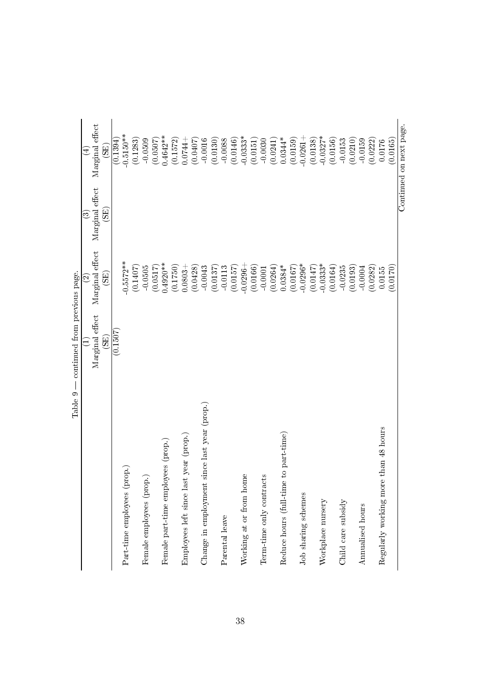| Table 9                                      | continued from previous page.        |                                             |                                      |                                      |
|----------------------------------------------|--------------------------------------|---------------------------------------------|--------------------------------------|--------------------------------------|
|                                              |                                      | $\widehat{\circ}$                           | $\odot$                              | Ā                                    |
|                                              | Marginal effect<br>$\widetilde{\Xi}$ | Marginal effect<br>$\overline{\mathrm{SB}}$ | Marginal effect<br>$\widetilde{\Xi}$ | Marginal effect<br>$\widetilde{\Xi}$ |
|                                              | (0.1507)                             |                                             |                                      | (0.1394)                             |
| Part-time employees (prop.)                  |                                      | $0.5572**$                                  |                                      | $-0.5150***$                         |
|                                              |                                      | (0.1407                                     |                                      | (0.1283)                             |
| ्वे<br>Female employees (pro                 |                                      | $-0.0505$                                   |                                      | $-0.0509$                            |
|                                              |                                      | 7150.0                                      |                                      | (0.0507)                             |
| Female part-time employees (prop.)           |                                      | $0.4920**$                                  |                                      | $0.4642**$                           |
| Employees left since last year (prop.)       |                                      | (0.1750)<br>$0.0803 +$                      |                                      | (0.1572)<br>$0.0744 +$               |
|                                              |                                      | (0.0428)                                    |                                      | (0.0407)                             |
| Change in employment since last year (prop.) |                                      | $-0.0043$                                   |                                      | $-0.0016$                            |
|                                              |                                      | 70.0137                                     |                                      | (0.0130)                             |
| Parental leave                               |                                      | $-0.0113$                                   |                                      | $-0.0088$                            |
|                                              |                                      | 7510.01                                     |                                      | (0.0146)                             |
| Working at or from home                      |                                      | $-0.0296$                                   |                                      | $-0.0333*$                           |
|                                              |                                      | (0.0166)                                    |                                      | (0.0151)                             |
| Term-time only contracts                     |                                      | $-0.0001$                                   |                                      | $-0.0030$                            |
|                                              |                                      | (0.0264)                                    |                                      | (0.0241)                             |
| Reduce hours (full-time to part-time)        |                                      | $0.0384*$                                   |                                      | $0.0344*$                            |
|                                              |                                      | 7910.0                                      |                                      | (0.0159)                             |
| Job sharing schemes                          |                                      | $-0.0296*$                                  |                                      | $-0.0261 +$                          |
|                                              |                                      | (0.0147)                                    |                                      | (0.0138)                             |
| Workplace nursery                            |                                      | $-0.0333*$                                  |                                      | $-0.0327*$                           |
|                                              |                                      | (0.0164)                                    |                                      | (0.0156)                             |
| Child care subsidy                           |                                      | $-0.0235$                                   |                                      | $-0.0153$                            |
|                                              |                                      | (0.0193)                                    |                                      | (0.0210)                             |
| Annualised hours                             |                                      | $-0.0004$                                   |                                      | $-0.0159$                            |
|                                              |                                      | (0.0282)                                    |                                      | (0.0222)                             |
| Regularly working more than 48 hours         |                                      | 0.0155                                      |                                      | 0.0176                               |
|                                              |                                      | 0.0170                                      |                                      | (0.0165)                             |
|                                              |                                      |                                             |                                      | Continued on next page.              |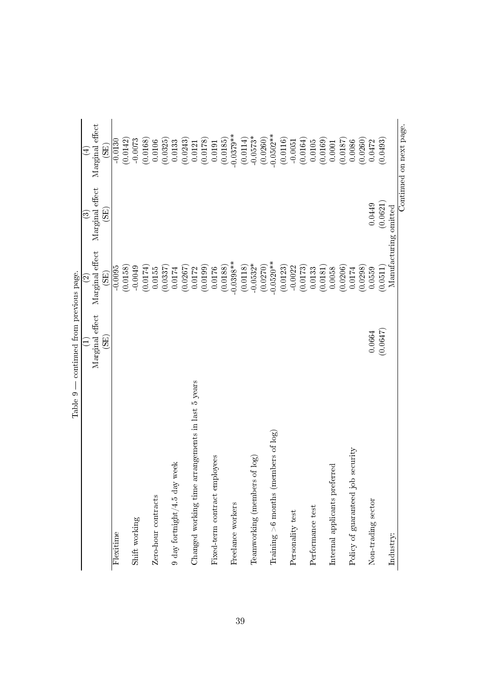| Table 9                                              | continued from previous page. |                                      |                                      |                                      |
|------------------------------------------------------|-------------------------------|--------------------------------------|--------------------------------------|--------------------------------------|
|                                                      |                               | $\widehat{\mathfrak{D}}$             | ಣ                                    | $\widehat{\mathcal{A}}$              |
|                                                      | Marginal effect<br>(GE)       | Marginal effect<br>$\widetilde{\Xi}$ | Marginal effect<br>$\widetilde{\Xi}$ | Marginal effect<br>$\widetilde{\Xi}$ |
| Flexitime                                            |                               | (0.0158)<br>$-0.0095$                |                                      | (0.0142)<br>$-0.0130$                |
| Shift working                                        |                               | $-0.0049$                            |                                      | $-0.0073$                            |
|                                                      |                               | (0.0174)                             |                                      | 0.0168                               |
| Zero-hour contracts                                  |                               | 0.0155                               |                                      | 0.0106                               |
|                                                      |                               | 0.0337                               |                                      | (0.0325)                             |
| $9$ day for<br>tnight/4.5 day week                   |                               | 0.0174                               |                                      | 0.0133                               |
|                                                      |                               | (0.0267)                             |                                      | (0.0243)                             |
| arrangements in last 5 years<br>Changed working time |                               | 0.0172                               |                                      | 0.0121                               |
|                                                      |                               | (0.0199)                             |                                      | (0.0178)                             |
| Fixed-term contract employees                        |                               | 0.0176                               |                                      | 0.0191                               |
|                                                      |                               | (0.0188)                             |                                      | (0.0185)                             |
| Freelance workers                                    |                               | $0.0398**$                           |                                      | $-0.0379**$                          |
|                                                      |                               | (0.0118)                             |                                      | (0.0114)                             |
| Teamworking (members of log)                         |                               | $-0.0532*$                           |                                      | $-0.0573*$                           |
|                                                      |                               | (0.0270)                             |                                      | (0.0260)                             |
| Training $>$ 6 months (members of log)               |                               | $-0.0520**$                          |                                      | $-0.0502**$                          |
|                                                      |                               | (0.0123)                             |                                      | (0.0116)                             |
| Personality test                                     |                               | $-0.0022$                            |                                      | $-0.0051$                            |
|                                                      |                               | (0.0173)                             |                                      | (0.0164)                             |
| Performance test                                     |                               | 0.0133                               |                                      | 0.0105                               |
|                                                      |                               | (0.0181)                             |                                      | (0.0169)                             |
| Internal applicants preferred                        |                               | 0.0058                               |                                      | 0.0001                               |
|                                                      |                               | (0.0206)                             |                                      | (0.0187)                             |
| Policy of guaranteed job security                    |                               | 0.0174                               |                                      | 0.0086                               |
|                                                      |                               | 0.0298                               |                                      | (0.0260)                             |
| Non-trading sector                                   | 0.0664                        | 0.0559                               | 0.0449                               | 0.0472                               |
|                                                      | (0.0647)                      | 0.0511                               | (0.0621)                             | 0.0493                               |
| Industry:                                            |                               | Manufacturing                        | omitted                              |                                      |
|                                                      |                               |                                      |                                      | Continued on next page.              |

39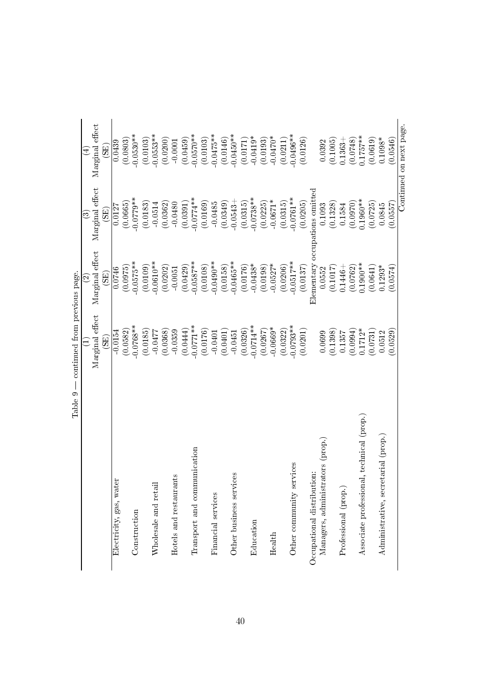| Continued on next page.<br>Marginal effect<br>$0.0570**$<br>$0.0450**$<br>$-0.0530**$<br>$0.0553**$<br>$0.0475**$<br>$0.0496***$<br>$0.1757***$<br>$-0.0419*$<br>$-0.0470*$<br>(0.0146)<br>(0.0619)<br>(0.0546)<br>(0.0200)<br>(0.0459)<br>(0.0103)<br>(0.0126)<br>$0.1098*$<br>(0.0803)<br>(0.0103)<br>(0.0193)<br>(0.1005)<br>(0.0748)<br>(0.0211)<br>(0.0171)<br>$0.1363 +$<br>0.0439<br>0.0392<br>$-0.0001$<br>$\mathbb{E}$<br>l effect<br>Elementary occupations omitted<br>$0.0738***$<br>$0.0761***$<br>$0.0779**$<br>$0.0774**$<br>$0.1960**$<br>$-0.0671*$<br>(0.0169)<br>(0.1328)<br>(0.0970)<br>(0.0362)<br>(0.0315)<br>(0.0183)<br>$-0.0485$<br>(0.0349)<br>$-0.0543 +$<br>(0.0315)<br>(0.0225)<br>(0.0205)<br>(0.0725)<br>(0.0557)<br>(0.0665)<br>$-0.0514$<br>$-0.0480$<br>0.1093<br>(0.0391)<br>0.1584<br>0.0845<br>0.0127<br>Marginal<br>$\mathbb{E}$<br>Marginal effect<br>$0.0610**$<br>$0.0490**$<br>$-0.0465***$<br>$0.0517***$<br>$-0.0575**$<br>$-0.0587***$<br>$0.1900**$<br>$-0.0438*$<br>$-0.0527*$<br>(0.0108)<br>(0.0158)<br>(0.0109)<br>(0.0176)<br>(0.0206)<br>$0.1293*$<br>(0.0429)<br>(0.0198)<br>(0.0574)<br>(0.0202)<br>(0.1017)<br>(0.0975)<br>(0.0137)<br>(0.0762)<br>0.0746<br>(0.0641)<br>0.0552<br>$0.1446 +$<br>$-0.0051$<br>(SE)<br>Marginal effect<br>$-0.0771**$<br>$0.0793**$<br>$-0.0768**$<br>$-0.0714**$<br>$-0.0669*$<br>0.0529<br>(0.0176)<br>$0.1712*$<br>$-0.0154$<br>$-0.0359$<br>(0.0326)<br>(0.0994)<br>(0.0368)<br>(0.0444)<br>(0.0201)<br>(0.1398)<br>(0.0582)<br>(0.0185)<br>(0.0322)<br>(0.0267)<br>$-0.0477$<br>$-0.0401$<br>0.0401<br>0.0699<br>(0.0731)<br>0.0512<br>$-0.0451$<br>0.1357<br>$\widetilde{\mathrm{SB}}$<br>Associate professional, technical (prop.)<br>Administrative, secretarial (prop.)<br>Managers, administrators (prop.)<br>Transport and communication<br>Other community services<br>Occupational distribution:<br>Other business services<br>Hotels and restaurants<br>Electricity, gas, water<br>Wholesale and retail<br>Professional (prop.)<br>Financial services<br>Construction<br>Education<br>Health | Table 9 | - continued from previous page. | $\odot$ | ల | Ā |
|-------------------------------------------------------------------------------------------------------------------------------------------------------------------------------------------------------------------------------------------------------------------------------------------------------------------------------------------------------------------------------------------------------------------------------------------------------------------------------------------------------------------------------------------------------------------------------------------------------------------------------------------------------------------------------------------------------------------------------------------------------------------------------------------------------------------------------------------------------------------------------------------------------------------------------------------------------------------------------------------------------------------------------------------------------------------------------------------------------------------------------------------------------------------------------------------------------------------------------------------------------------------------------------------------------------------------------------------------------------------------------------------------------------------------------------------------------------------------------------------------------------------------------------------------------------------------------------------------------------------------------------------------------------------------------------------------------------------------------------------------------------------------------------------------------------------------------------------------------------------------------------------------------------------------------------------------------------------------------------------------------------------------------------------------------------------------------------------------|---------|---------------------------------|---------|---|---|
|                                                                                                                                                                                                                                                                                                                                                                                                                                                                                                                                                                                                                                                                                                                                                                                                                                                                                                                                                                                                                                                                                                                                                                                                                                                                                                                                                                                                                                                                                                                                                                                                                                                                                                                                                                                                                                                                                                                                                                                                                                                                                                 |         |                                 |         |   |   |
|                                                                                                                                                                                                                                                                                                                                                                                                                                                                                                                                                                                                                                                                                                                                                                                                                                                                                                                                                                                                                                                                                                                                                                                                                                                                                                                                                                                                                                                                                                                                                                                                                                                                                                                                                                                                                                                                                                                                                                                                                                                                                                 |         |                                 |         |   |   |
|                                                                                                                                                                                                                                                                                                                                                                                                                                                                                                                                                                                                                                                                                                                                                                                                                                                                                                                                                                                                                                                                                                                                                                                                                                                                                                                                                                                                                                                                                                                                                                                                                                                                                                                                                                                                                                                                                                                                                                                                                                                                                                 |         |                                 |         |   |   |
|                                                                                                                                                                                                                                                                                                                                                                                                                                                                                                                                                                                                                                                                                                                                                                                                                                                                                                                                                                                                                                                                                                                                                                                                                                                                                                                                                                                                                                                                                                                                                                                                                                                                                                                                                                                                                                                                                                                                                                                                                                                                                                 |         |                                 |         |   |   |
|                                                                                                                                                                                                                                                                                                                                                                                                                                                                                                                                                                                                                                                                                                                                                                                                                                                                                                                                                                                                                                                                                                                                                                                                                                                                                                                                                                                                                                                                                                                                                                                                                                                                                                                                                                                                                                                                                                                                                                                                                                                                                                 |         |                                 |         |   |   |
|                                                                                                                                                                                                                                                                                                                                                                                                                                                                                                                                                                                                                                                                                                                                                                                                                                                                                                                                                                                                                                                                                                                                                                                                                                                                                                                                                                                                                                                                                                                                                                                                                                                                                                                                                                                                                                                                                                                                                                                                                                                                                                 |         |                                 |         |   |   |
|                                                                                                                                                                                                                                                                                                                                                                                                                                                                                                                                                                                                                                                                                                                                                                                                                                                                                                                                                                                                                                                                                                                                                                                                                                                                                                                                                                                                                                                                                                                                                                                                                                                                                                                                                                                                                                                                                                                                                                                                                                                                                                 |         |                                 |         |   |   |
|                                                                                                                                                                                                                                                                                                                                                                                                                                                                                                                                                                                                                                                                                                                                                                                                                                                                                                                                                                                                                                                                                                                                                                                                                                                                                                                                                                                                                                                                                                                                                                                                                                                                                                                                                                                                                                                                                                                                                                                                                                                                                                 |         |                                 |         |   |   |
|                                                                                                                                                                                                                                                                                                                                                                                                                                                                                                                                                                                                                                                                                                                                                                                                                                                                                                                                                                                                                                                                                                                                                                                                                                                                                                                                                                                                                                                                                                                                                                                                                                                                                                                                                                                                                                                                                                                                                                                                                                                                                                 |         |                                 |         |   |   |
|                                                                                                                                                                                                                                                                                                                                                                                                                                                                                                                                                                                                                                                                                                                                                                                                                                                                                                                                                                                                                                                                                                                                                                                                                                                                                                                                                                                                                                                                                                                                                                                                                                                                                                                                                                                                                                                                                                                                                                                                                                                                                                 |         |                                 |         |   |   |
|                                                                                                                                                                                                                                                                                                                                                                                                                                                                                                                                                                                                                                                                                                                                                                                                                                                                                                                                                                                                                                                                                                                                                                                                                                                                                                                                                                                                                                                                                                                                                                                                                                                                                                                                                                                                                                                                                                                                                                                                                                                                                                 |         |                                 |         |   |   |
|                                                                                                                                                                                                                                                                                                                                                                                                                                                                                                                                                                                                                                                                                                                                                                                                                                                                                                                                                                                                                                                                                                                                                                                                                                                                                                                                                                                                                                                                                                                                                                                                                                                                                                                                                                                                                                                                                                                                                                                                                                                                                                 |         |                                 |         |   |   |
|                                                                                                                                                                                                                                                                                                                                                                                                                                                                                                                                                                                                                                                                                                                                                                                                                                                                                                                                                                                                                                                                                                                                                                                                                                                                                                                                                                                                                                                                                                                                                                                                                                                                                                                                                                                                                                                                                                                                                                                                                                                                                                 |         |                                 |         |   |   |
|                                                                                                                                                                                                                                                                                                                                                                                                                                                                                                                                                                                                                                                                                                                                                                                                                                                                                                                                                                                                                                                                                                                                                                                                                                                                                                                                                                                                                                                                                                                                                                                                                                                                                                                                                                                                                                                                                                                                                                                                                                                                                                 |         |                                 |         |   |   |
|                                                                                                                                                                                                                                                                                                                                                                                                                                                                                                                                                                                                                                                                                                                                                                                                                                                                                                                                                                                                                                                                                                                                                                                                                                                                                                                                                                                                                                                                                                                                                                                                                                                                                                                                                                                                                                                                                                                                                                                                                                                                                                 |         |                                 |         |   |   |
|                                                                                                                                                                                                                                                                                                                                                                                                                                                                                                                                                                                                                                                                                                                                                                                                                                                                                                                                                                                                                                                                                                                                                                                                                                                                                                                                                                                                                                                                                                                                                                                                                                                                                                                                                                                                                                                                                                                                                                                                                                                                                                 |         |                                 |         |   |   |
|                                                                                                                                                                                                                                                                                                                                                                                                                                                                                                                                                                                                                                                                                                                                                                                                                                                                                                                                                                                                                                                                                                                                                                                                                                                                                                                                                                                                                                                                                                                                                                                                                                                                                                                                                                                                                                                                                                                                                                                                                                                                                                 |         |                                 |         |   |   |
|                                                                                                                                                                                                                                                                                                                                                                                                                                                                                                                                                                                                                                                                                                                                                                                                                                                                                                                                                                                                                                                                                                                                                                                                                                                                                                                                                                                                                                                                                                                                                                                                                                                                                                                                                                                                                                                                                                                                                                                                                                                                                                 |         |                                 |         |   |   |
|                                                                                                                                                                                                                                                                                                                                                                                                                                                                                                                                                                                                                                                                                                                                                                                                                                                                                                                                                                                                                                                                                                                                                                                                                                                                                                                                                                                                                                                                                                                                                                                                                                                                                                                                                                                                                                                                                                                                                                                                                                                                                                 |         |                                 |         |   |   |
|                                                                                                                                                                                                                                                                                                                                                                                                                                                                                                                                                                                                                                                                                                                                                                                                                                                                                                                                                                                                                                                                                                                                                                                                                                                                                                                                                                                                                                                                                                                                                                                                                                                                                                                                                                                                                                                                                                                                                                                                                                                                                                 |         |                                 |         |   |   |
|                                                                                                                                                                                                                                                                                                                                                                                                                                                                                                                                                                                                                                                                                                                                                                                                                                                                                                                                                                                                                                                                                                                                                                                                                                                                                                                                                                                                                                                                                                                                                                                                                                                                                                                                                                                                                                                                                                                                                                                                                                                                                                 |         |                                 |         |   |   |
|                                                                                                                                                                                                                                                                                                                                                                                                                                                                                                                                                                                                                                                                                                                                                                                                                                                                                                                                                                                                                                                                                                                                                                                                                                                                                                                                                                                                                                                                                                                                                                                                                                                                                                                                                                                                                                                                                                                                                                                                                                                                                                 |         |                                 |         |   |   |
|                                                                                                                                                                                                                                                                                                                                                                                                                                                                                                                                                                                                                                                                                                                                                                                                                                                                                                                                                                                                                                                                                                                                                                                                                                                                                                                                                                                                                                                                                                                                                                                                                                                                                                                                                                                                                                                                                                                                                                                                                                                                                                 |         |                                 |         |   |   |
|                                                                                                                                                                                                                                                                                                                                                                                                                                                                                                                                                                                                                                                                                                                                                                                                                                                                                                                                                                                                                                                                                                                                                                                                                                                                                                                                                                                                                                                                                                                                                                                                                                                                                                                                                                                                                                                                                                                                                                                                                                                                                                 |         |                                 |         |   |   |
|                                                                                                                                                                                                                                                                                                                                                                                                                                                                                                                                                                                                                                                                                                                                                                                                                                                                                                                                                                                                                                                                                                                                                                                                                                                                                                                                                                                                                                                                                                                                                                                                                                                                                                                                                                                                                                                                                                                                                                                                                                                                                                 |         |                                 |         |   |   |
|                                                                                                                                                                                                                                                                                                                                                                                                                                                                                                                                                                                                                                                                                                                                                                                                                                                                                                                                                                                                                                                                                                                                                                                                                                                                                                                                                                                                                                                                                                                                                                                                                                                                                                                                                                                                                                                                                                                                                                                                                                                                                                 |         |                                 |         |   |   |
|                                                                                                                                                                                                                                                                                                                                                                                                                                                                                                                                                                                                                                                                                                                                                                                                                                                                                                                                                                                                                                                                                                                                                                                                                                                                                                                                                                                                                                                                                                                                                                                                                                                                                                                                                                                                                                                                                                                                                                                                                                                                                                 |         |                                 |         |   |   |
|                                                                                                                                                                                                                                                                                                                                                                                                                                                                                                                                                                                                                                                                                                                                                                                                                                                                                                                                                                                                                                                                                                                                                                                                                                                                                                                                                                                                                                                                                                                                                                                                                                                                                                                                                                                                                                                                                                                                                                                                                                                                                                 |         |                                 |         |   |   |

40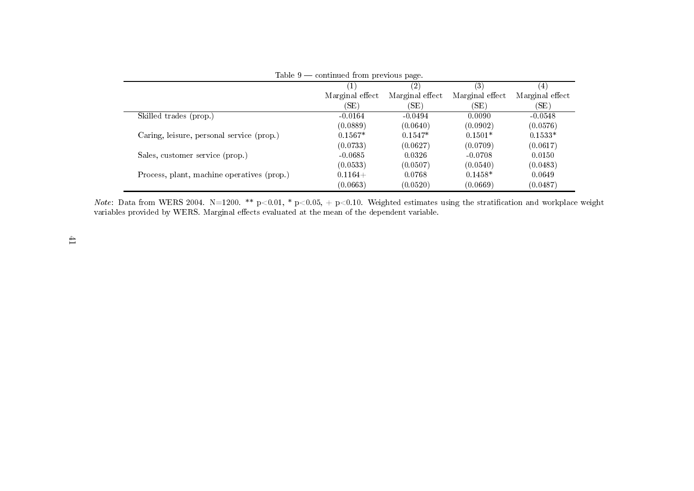|                                            | Table $9$ — continued from previous page. |                 |                 |                 |
|--------------------------------------------|-------------------------------------------|-----------------|-----------------|-----------------|
|                                            |                                           | (2)             | (3)             | 4.              |
|                                            | Marginal effect                           | Marginal effect | Marginal effect | Marginal effect |
|                                            | 'SE)                                      | (SE)            | (SE)            | (SE)            |
| Skilled trades (prop.)                     | $-0.0164$                                 | $-0.0494$       | 0.0090          | $-0.0548$       |
|                                            | (0.0889)                                  | (0.0640)        | (0.0902)        | (0.0576)        |
| Caring, leisure, personal service (prop.)  | $0.1567*$                                 | $0.1547*$       | $0.1501*$       | $0.1533*$       |
|                                            | (0.0733)                                  | (0.0627)        | (0.0709)        | (0.0617)        |
| Sales, customer service (prop.)            | $-0.0685$                                 | 0.0326          | $-0.0708$       | 0.0150          |
|                                            | (0.0533)                                  | (0.0507)        | (0.0540)        | (0.0483)        |
| Process, plant, machine operatives (prop.) | $0.1164+$                                 | 0.0768          | $0.1458*$       | 0.0649          |
|                                            | (0.0663)                                  | (0.0520)        | (0.0669)        | (0.0487)        |

*Note*: Data from WERS 2004. N=1200. \*\* p<0.01, \* p<0.05, + p<0.10. Weighted estimates using the stratification and workplace weight<br>variables provided by WERS. Marginal effects evaluated at the mean of the dependent vari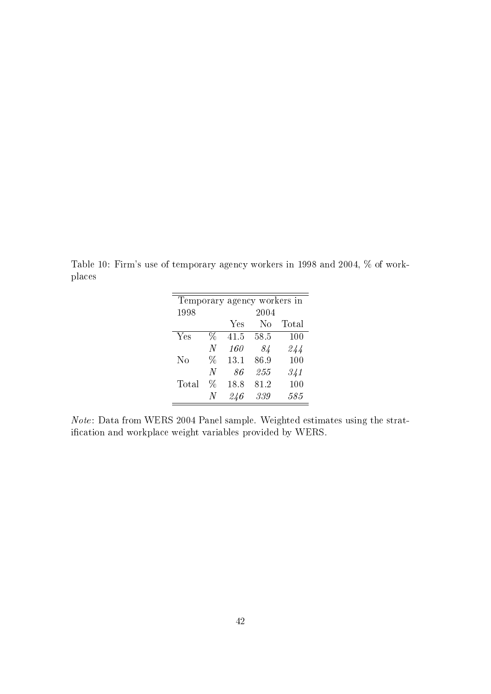<span id="page-43-0"></span>Table 10: Firm's use of temporary agency workers in 1998 and 2004, % of workplaces

|       |      |      | Temporary agency workers in |       |
|-------|------|------|-----------------------------|-------|
| 1998  |      |      | 2004                        |       |
|       |      | Yes  | Nο                          | Total |
| Yes   | ℅    | 41.5 | 58.5                        | 100   |
|       | N    | 160  | 84                          | 244   |
| No    | $\%$ | 13.1 | 86.9                        | 100   |
|       | N    | 86   | 255                         | 341   |
| Total | ℅    | 18.8 | 81.2                        | 100   |
|       | N    | 246  | 339                         | 585   |

Note: Data from WERS 2004 Panel sample. Weighted estimates using the stratification and workplace weight variables provided by WERS.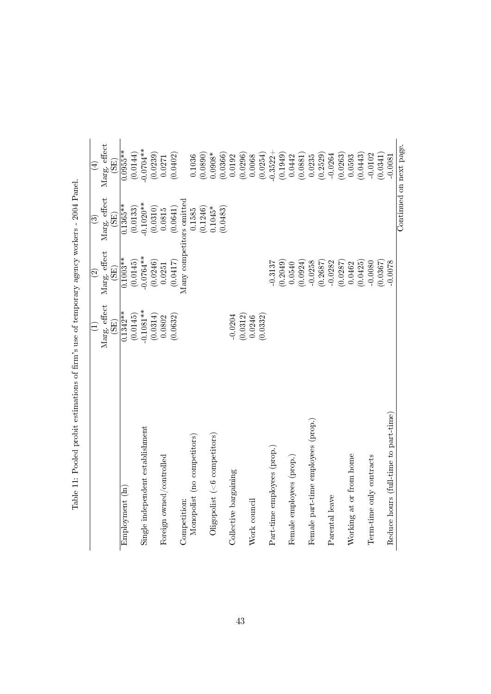|                                       |                      | $\widehat{\mathfrak{O}}$ | ව                    | $\bigoplus$             |
|---------------------------------------|----------------------|--------------------------|----------------------|-------------------------|
|                                       | Marg. effect<br>(SE) | Marg. effect<br>(SE)     | Marg. effect<br>(SE) | Marg. effect<br>(SE)    |
| Employment (ln)                       | $0.1342**$           | $0.1003**$               | $0.1365**$           | $0.0955**$              |
|                                       | (0.0145)             | (0.0145)                 | (0.0133)             | (0.0144)                |
| Single independent establishment      | $0.1081**$           | $-0.0764**$              | $-0.1020**$          | $0.0704**$              |
|                                       | (0.0314)             | (0.0246)                 | (0.0310)             | (0.0239)                |
| Foreign owned/controlled              | 0.0802               | 0.0251                   | 0.0815               | 0.0271                  |
|                                       | (0.0632)             | (0.0417)                 | (0.0641)             | (0.0402)                |
| Competition:                          |                      | Many competitors omitted |                      |                         |
| Monopolist (no competitors)           |                      |                          | 0.1585               | 0.1036                  |
|                                       |                      |                          | (0.1246)             | (0.0890)                |
| $O$ ligopolist (<6 competitors)       |                      |                          | $0.1045*$            | $0.0908*$               |
|                                       |                      |                          | (0.0483)             | (0.0366)                |
| Collective bargaining                 | $-0.0204$            |                          |                      | 0.0192                  |
|                                       | (0.0312)             |                          |                      | (0.0296)                |
| Work council                          | 0.0246               |                          |                      | 0.0068                  |
|                                       | (0.0332)             |                          |                      | (0.0254)                |
| Part-time employees (prop.)           |                      | $-0.3137$                |                      | $-0.3522 +$             |
|                                       |                      | (0.2049)                 |                      | (0.1949)                |
| Female employees (prop.)              |                      | 0.0540                   |                      | 0.0442                  |
|                                       |                      | (0.0924)                 |                      | (0.0881)                |
| Female part-time employees (prop.)    |                      | $-0.0258$                |                      | 0.0235                  |
|                                       |                      | (0.2687)                 |                      | (0.2529)                |
| Parental leave                        |                      | $-0.0282$                |                      | $-0.0264$               |
|                                       |                      | (0.0287)                 |                      | (0.0263)                |
| Working at or from home               |                      | 0.0462                   |                      | 0.0593                  |
|                                       |                      | (0.0425)                 |                      | (0.0443)                |
| Term-time only contracts              |                      | $-0.0080$                |                      | $-0.0102$               |
|                                       |                      | (0.0367)                 |                      | (0.0341)                |
| Reduce hours (full-time to part-time) |                      | 0.0078                   |                      | 0.0081                  |
|                                       |                      |                          |                      | Continued on next page. |

<span id="page-44-0"></span>Table 11: Pooled probit estimations of firm's use of temporary agency workers - 2004 Panel. Table 11: Pooled probit estimations of firm's use of temporary agency workers - 2004 Panel.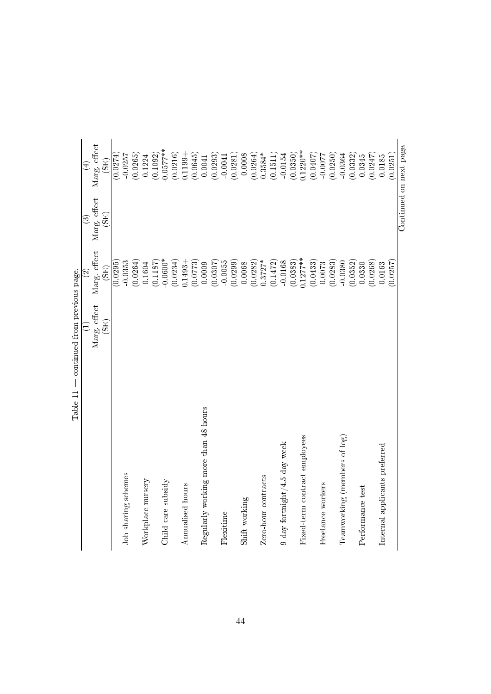| TT Anne T                            | Contentrare in our previous page. |                    |              |                              |
|--------------------------------------|-----------------------------------|--------------------|--------------|------------------------------|
|                                      |                                   | $\widehat{\infty}$ | $\odot$      | $\left( \frac{1}{2} \right)$ |
|                                      | Marg. effect                      | Marg. effect       | Marg. effect | Marg. effect                 |
|                                      | $\widetilde{\mathrm{(3E)}}$       | (SE)               | (SE)         | $\widetilde{\mathrm{GB}}$    |
|                                      |                                   | (0.0295)           |              | (0.0274)                     |
| Job sharing schemes                  |                                   | $-0.0353$          |              | $-0.0257$                    |
|                                      |                                   | (0.0264)           |              | (0.0265)                     |
| Workplace nursery                    |                                   | 0.1604             |              | 0.1224                       |
|                                      |                                   | (0.1187)           |              | (0.1092)                     |
| Child care subsidy                   |                                   | $-0.0600*$         |              | $-0.0577**$                  |
|                                      |                                   | (0.0234)           |              | (0.0216)                     |
| Annualised hours                     |                                   | $0.1493 +$         |              | $0.1199 +$                   |
|                                      |                                   | (0.0773)           |              | (0.0645)                     |
| Regularly working more than 48 hours |                                   | 0.0009             |              | 0.0041                       |
|                                      |                                   | (0.0307)           |              | (0.0293)                     |
| Flexitime                            |                                   | $-0.0055$          |              | $-0.0041$                    |
|                                      |                                   | (0.0299)           |              | (0.0281)                     |
| Shift working                        |                                   | 0.0068             |              | $-0.0008$                    |
|                                      |                                   | (0.0282)           |              | (0.0264)                     |
| Zero-hour contracts                  |                                   | $0.3727*$          |              | $0.3584*$                    |
|                                      |                                   | (0.1472)           |              | (0.1511)                     |
| $9$ day fortnight/4.5 day week       |                                   | $-0.0168$          |              | $-0.0154$                    |
|                                      |                                   | (0.0383)           |              | (0.0350)                     |
| Fixed-term contract employees        |                                   | $0.1277***$        |              | $0.1220**$                   |
|                                      |                                   | (0.0433)           |              | (0.0407)                     |
| Freelance workers                    |                                   | 0.0073             |              | $-0.0077$                    |
|                                      |                                   | (0.0283)           |              | (0.0250)                     |
| Teamworking (members of log)         |                                   | $-0.0380$          |              | $-0.0364$                    |
|                                      |                                   | (0.0352)           |              | (0.0332)                     |
| Performance test                     |                                   | 0.0330             |              | 0.0345                       |
|                                      |                                   | (0.0268)           |              | (0.0247)                     |
| Internal applicants preferred        |                                   | 0.0163             |              | 0.0185                       |
|                                      |                                   | (0.0257)           |              | (0.0251)                     |
|                                      |                                   |                    |              | Continued on next page.      |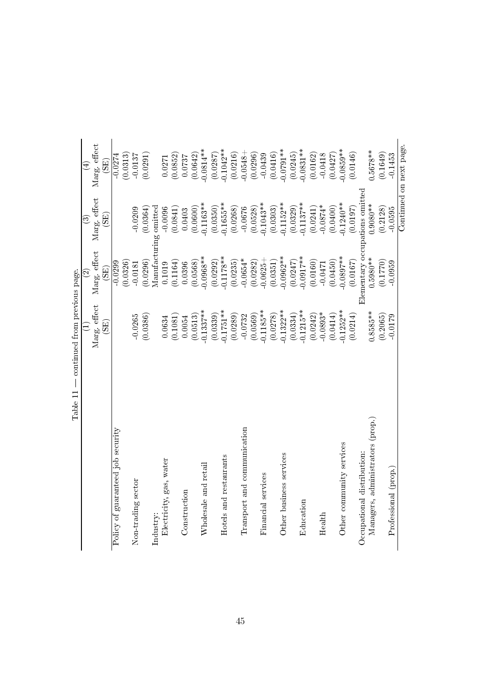|                                   |                             | $\widehat{\infty}$          | ව                              | $\bigoplus$                 |
|-----------------------------------|-----------------------------|-----------------------------|--------------------------------|-----------------------------|
|                                   | Marg. effect                | Marg. effect                | Marg. effect                   | Marg. effect                |
|                                   | $\widetilde{\mathrm{(SB)}}$ | $\widetilde{\mathrm{(SB)}}$ | $\widetilde{\mathrm{GB}}$      | $\widetilde{\mathrm{(SB)}}$ |
| Policy of guaranteed job security |                             | $-0.0299$                   |                                | $-0.0274$                   |
|                                   |                             | (0.0326)                    |                                | (0.0313)                    |
| Non-trading sector                | $-0.0265$                   | $-0.0181$                   | $-0.0209$                      | $-0.0137$                   |
|                                   | (0.0386)                    | (0.0296)                    | (0.0364)                       | (0.0291)                    |
| Industry:                         |                             |                             | Manufacturing omitted          |                             |
| Electricity, gas, water           | 0.0634                      | 0.1019                      | $-0.0096$                      | 0.0271                      |
|                                   | (0.1081)                    | (0.1164)                    | (0.0841)                       | (0.0852)                    |
| Construction                      | 0.0054                      | 0.0396                      | 0.0403                         | 0.0737                      |
|                                   | (0.0513)                    | (0.0568)                    | (0.0600)                       | (0.0642)                    |
| Wholesale and retail              | $0.1337***$                 | $0.0968**$                  | $0.1163***$                    | $0.0814**$                  |
|                                   | (0.0339)                    | (0.0292)                    | (0.0350)                       | (0.0287)                    |
| Hotels and restaurants            | $-0.1751**$                 | $0.1178**$                  | $0.1655***$                    | $-0.1042**$                 |
|                                   | (0.0289)                    | (0.0235)                    | (0.0268)                       | (0.0216)                    |
| Transport and communication       | $-0.0732$                   | $-0.0654*$                  | $-0.0676$                      | $-0.0548 +$                 |
|                                   | (0.0569)                    | (0.0282)                    | (0.0528)                       | (0.0296)                    |
| Financial services                | $-0.1185**$                 | $-0.0625 +$                 | $0.1043**$                     | $-0.0439$                   |
|                                   | (0.0278)                    | (0.0351)                    | (0.0303)                       | (0.0416)                    |
| Other business services           | $0.1322**$                  | $0.0962**$                  | $0.1152***$                    | $0.0791**$                  |
|                                   | (0.0334)                    | (0.0247)                    | (0.0329)                       | (0.0245)                    |
| Education                         | $-0.1215**$                 | $-0.0917**$                 | $0.1137***$                    | $0.0831**$                  |
|                                   | (0.0242)                    | (0.0160)                    | (0.0241)                       | (0.0162)                    |
| Health                            | $-0.0893*$                  | $-0.0471$                   | $-0.0874*$                     | $-0.0418$                   |
|                                   | (0.0414)                    | (0.0450)                    | (0.0400)                       | (0.0427)                    |
| Other community services          | $-0.1252***$                | $0.0897***$                 | $0.1240**$                     | $0.0859**$                  |
|                                   | (0.0214)                    | (0.0167)                    | (0.0197)                       | (0.0146)                    |
| Occupational distribution:        |                             |                             | Elementary occupations omitted |                             |
| Managers, administrators (prop.)  | $0.8585***$                 | 1.5980**                    | $0.9080**$                     | 1.5678**                    |
|                                   | (0.2065)                    | (0.1770)                    | (0.2128)                       | (0.1649)                    |
| Professional (prop.)              | $-0.0179$                   | $-0.0959$                   | $-0.0595$                      | $-0.1453$                   |
|                                   |                             |                             |                                | Continued on next page.     |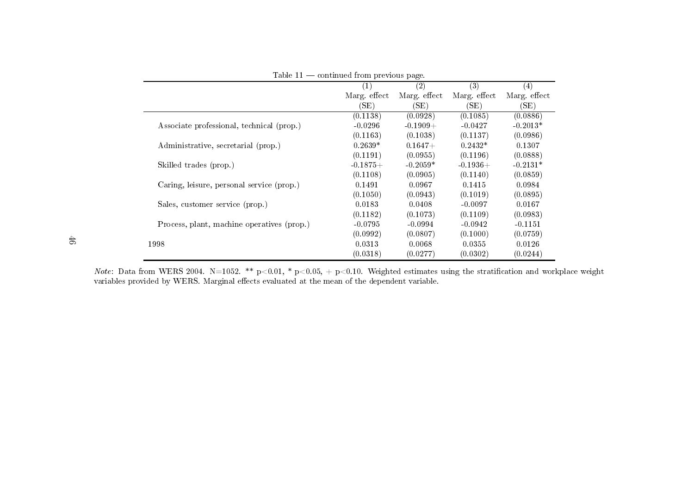| 1001 C 11                                  | continuou from provisus page. |              |              |                   |
|--------------------------------------------|-------------------------------|--------------|--------------|-------------------|
|                                            | $\left( 1\right)$             | (2)          | (3)          | $\left( 4\right)$ |
|                                            | Marg effect                   | Marg. effect | Marg. effect | Marg. effect      |
|                                            | (SE)                          | (SE)         | (SE)         | (SE)              |
|                                            | (0.1138)                      | (0.0928)     | (0.1085)     | (0.0886)          |
| Associate professional, technical (prop.)  | $-0.0296$                     | $-0.1909 +$  | $-0.0427$    | $-0.2013*$        |
|                                            | (0.1163)                      | (0.1038)     | (0.1137)     | (0.0986)          |
| Administrative, secretarial (prop.)        | $0.2639*$                     | $0.1647+$    | $0.2432*$    | 0.1307            |
|                                            | (0.1191)                      | (0.0955)     | (0.1196)     | (0.0888)          |
| Skilled trades (prop.)                     | $-0.1875+$                    | $-0.2059*$   | $-0.1936+$   | $-0.2131*$        |
|                                            | (0.1108)                      | (0.0905)     | (0.1140)     | (0.0859)          |
| Caring, leisure, personal service (prop.)  | 0.1491                        | 0.0967       | 0.1415       | 0.0984            |
|                                            | (0.1050)                      | (0.0943)     | (0.1019)     | (0.0895)          |
| Sales, customer service (prop.)            | 0.0183                        | 0.0408       | $-0.0097$    | 0.0167            |
|                                            | (0.1182)                      | (0.1073)     | (0.1109)     | (0.0983)          |
| Process, plant, machine operatives (prop.) | $-0.0795$                     | $-0.0994$    | $-0.0942$    | $-0.1151$         |
|                                            | (0.0992)                      | (0.0807)     | (0.1000)     | (0.0759)          |
| 1998                                       | 0.0313                        | 0.0068       | 0.0355       | 0.0126            |
|                                            | (0.0318)                      | (0.0277)     | (0.0302)     | (0.0244)          |

Table  $11$  — continued from previous page.

Note: Data from WERS 2004. N=1052. \*\* p<0.01, \* p<0.05, + p<0.10. Weighted estimates using the stratification and workplace weight variables provided by WERS. Marginal effects evaluated at the mean of the dependent variable.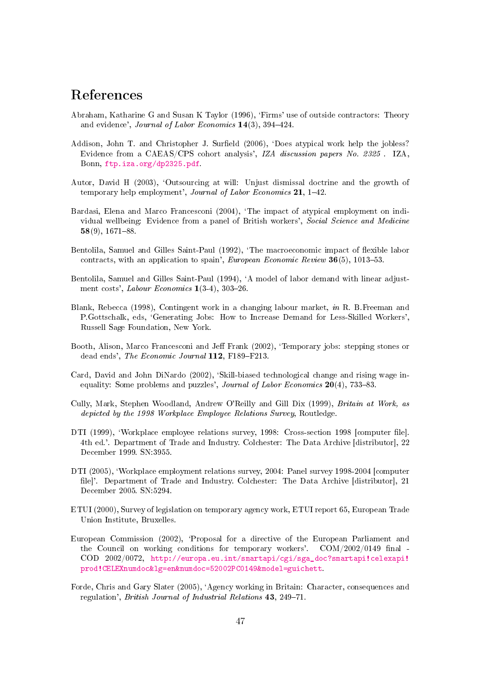## References

- <span id="page-48-3"></span>Abraham, Katharine G and Susan K Taylor (1996), 'Firms' use of outside contractors: Theory and evidence', *Journal of Labor Economics*  $14(3)$ ,  $394-424$ .
- <span id="page-48-1"></span>Addison, John T. and Christopher J. Surfield (2006), 'Does atypical work help the jobless? Evidence from a CAEAS/CPS cohort analysis', IZA discussion papers No. 2325 . IZA, Bonn, [ftp.iza.org/dp2325.pdf.](ftp.iza.org/dp2325.pdf)
- <span id="page-48-4"></span>Autor, David H (2003), `Outsourcing at will: Unjust dismissal doctrine and the growth of temporary help employment', Journal of Labor Economics 21, 1-42.
- <span id="page-48-0"></span>Bardasi, Elena and Marco Francesconi (2004), 'The impact of atypical employment on individual wellbeing: Evidence from a panel of British workers', Social Science and Medicine  $58(9)$ , 1671-88.
- <span id="page-48-13"></span>Bentolila, Samuel and Gilles Saint-Paul (1992), 'The macroeconomic impact of flexible labor contracts, with an application to spain', European Economic Review  $36(5)$ , 1013-53.
- <span id="page-48-14"></span>Bentolila, Samuel and Gilles Saint-Paul (1994), `A model of labor demand with linear adjustment costs', Labour Economics  $1(3-4)$ ,  $303-26$ .
- <span id="page-48-9"></span>Blank, Rebecca (1998), Contingent work in a changing labour market, in R. B.Freeman and P.Gottschalk, eds, `Generating Jobs: How to Increase Demand for Less-Skilled Workers', Russell Sage Foundation, New York.
- <span id="page-48-2"></span>Booth, Alison, Marco Francesconi and Jeff Frank (2002), 'Temporary jobs: stepping stones or dead ends', The Economic Journal 112, F189-F213.
- <span id="page-48-11"></span>Card, David and John DiNardo (2002), 'Skill-biased technological change and rising wage inequality: Some problems and puzzles', Journal of Labor Economics  $20(4)$ , 733-83.
- <span id="page-48-6"></span>Cully, Mark, Stephen Woodland, Andrew O'Reilly and Gill Dix (1999), Britain at Work, as depicted by the 1998 Workplace Employee Relations Survey, Routledge.
- <span id="page-48-12"></span>DTI (1999), 'Workplace employee relations survey, 1998: Cross-section 1998 [computer file]. 4th ed.'. Department of Trade and Industry. Colchester: The Data Archive [distributor], 22 December 1999. SN:3955.
- <span id="page-48-5"></span>DTI (2005), 'Workplace employment relations survey, 2004: Panel survey 1998-2004 [computer file]'. Department of Trade and Industry. Colchester: The Data Archive [distributor], 21 December 2005. SN:5294.
- <span id="page-48-8"></span>ETUI (2000), Survey of legislation on temporary agency work, ETUI report 65, European Trade Union Institute, Bruxelles.
- <span id="page-48-7"></span>European Commission (2002), 'Proposal for a directive of the European Parliament and the Council on working conditions for temporary workers'.  $COM/2002/0149$  final -COD 2002/0072, [http://europa.eu.int/smartapi/cgi/sga\\_doc?smartapi!celexapi!](http://europa.eu.int/smartapi/cgi/sga_doc?smartapi!celexapi!prod!CELEXnumdoc&lg=en&numdoc=52002PC0149&model=guichett) [prod!CELEXnumdoc&lg=en&numdoc=52002PC0149&model=guichett.](http://europa.eu.int/smartapi/cgi/sga_doc?smartapi!celexapi!prod!CELEXnumdoc&lg=en&numdoc=52002PC0149&model=guichett)
- <span id="page-48-10"></span>Forde, Chris and Gary Slater (2005), `Agency working in Britain: Character, consequences and regulation', British Journal of Industrial Relations 43, 249-71.